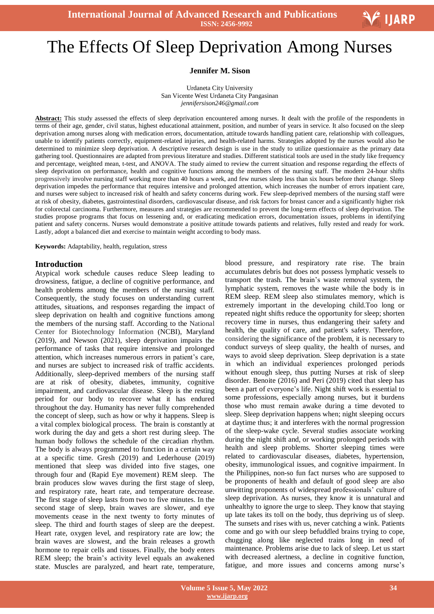# Ξ The Effects Of Sleep Deprivation Among Nurses

#### **Jennifer M. Sison**

Urdaneta City University San Vicente West Urdaneta City Pangasinan *jennifersison246@gmail.com*

**Abstract:** This study assessed the effects of sleep deprivation encountered among nurses. It dealt with the profile of the respondents in terms of their age, gender, civil status, highest educational attainment, position, and number of years in service. It also focused on the sleep deprivation among nurses along with medication errors, documentation, attitude towards handling patient care, relationship with colleagues, unable to identify patients correctly, equipment-related injuries, and health-related harms. Strategies adopted by the nurses would also be determined to minimize sleep deprivation. A descriptive research design is use in the study to utilize questionnaire as the primary data gathering tool. Questionnaires are adapted from previous literature and studies. Different statistical tools are used in the study like frequency and percentage, weighted mean, t-test, and ANOVA. The study aimed to review the current situation and response regarding the effects of sleep deprivation on performance, health and cognitive functions among the members of the nursing staff. The modern 24-hour shifts progressively involve nursing staff working more than 40 hours a week, and few nurses sleep less than six hours before their change. Sleep deprivation impedes the performance that requires intensive and prolonged attention, which increases the number of errors inpatient care, and nurses were subject to increased risk of health and safety concerns during work. Few sleep-deprived members of the nursing staff were at risk of obesity, diabetes, gastrointestinal disorders, cardiovascular disease, and risk factors for breast cancer and a significantly higher risk for colorectal carcinoma. Furthermore, measures and strategies are recommended to prevent the long-term effects of sleep deprivation. The studies propose programs that focus on lessening and, or eradicating medication errors, documentation issues, problems in identifying patient and safety concerns. Nurses would demonstrate a positive attitude towards patients and relatives, fully rested and ready for work. Lastly, adopt a balanced diet and exercise to maintain weight according to body mass.

**Keywords:** Adaptability, health, regulation, stress

#### **Introduction**

Atypical work schedule causes reduce Sleep leading to drowsiness, fatigue, a decline of cognitive performance, and health problems among the members of the nursing staff. Consequently, the study focuses on understanding current attitudes, situations, and responses regarding the impact of sleep deprivation on health and cognitive functions among the members of the nursing staff. According to the National Center for Biotechnology Information (NCBI), Maryland (2019), and Newson (2021), sleep deprivation impairs the performance of tasks that require intensive and prolonged attention, which increases numerous errors in patient's care, and nurses are subject to increased risk of traffic accidents. Additionally, sleep-deprived members of the nursing staff are at risk of obesity, diabetes, immunity, cognitive impairment, and cardiovascular disease. Sleep is the resting period for our body to recover what it has endured throughout the day. Humanity has never fully comprehended the concept of sleep, such as how or why it happens. Sleep is a vital complex biological process. The brain is constantly at work during the day and gets a short rest during sleep. The human body follows the schedule of the circadian rhythm. The body is always programmed to function in a certain way at a specific time. Gresh (2019) and Lederhouse (2019) mentioned that sleep was divided into five stages, one through four and (Rapid Eye movement) REM sleep. The brain produces slow waves during the first stage of sleep, and respiratory rate, heart rate, and temperature decrease. The first stage of sleep lasts from two to five minutes. In the second stage of sleep, brain waves are slower, and eye movements cease in the next twenty to forty minutes of sleep. The third and fourth stages of sleep are the deepest. Heart rate, oxygen level, and respiratory rate are low; the brain waves are slowest, and the brain releases a growth hormone to repair cells and tissues. Finally, the body enters REM sleep; the brain's activity level equals an awakened state. Muscles are paralyzed, and heart rate, temperature,

blood pressure, and respiratory rate rise. The brain accumulates debris but does not possess lymphatic vessels to transport the trash. The brain's waste removal system, the lymphatic system, removes the waste while the body is in REM sleep. REM sleep also stimulates memory, which is extremely important in the developing child.Too long or repeated night shifts reduce the opportunity for sleep; shorten recovery time in nurses, thus endangering their safety and health, the quality of care, and patient's safety. Therefore, considering the significance of the problem, it is necessary to conduct surveys of sleep quality, the health of nurses, and ways to avoid sleep deprivation. Sleep deprivation is a state in which an individual experiences prolonged periods without enough sleep, thus putting Nurses at risk of sleep disorder. Benoite (2016) and Peri (2019) cited that sleep has been a part of everyone's life. Night shift work is essential to some professions, especially among nurses, but it burdens those who must remain awake during a time devoted to sleep. Sleep deprivation happens when; night sleeping occurs at daytime thus; it and interferes with the normal progression of the sleep-wake cycle. Several studies associate working during the night shift and, or working prolonged periods with health and sleep problems. Shorter sleeping times were related to cardiovascular diseases, diabetes, hypertension, obesity, immunological issues, and cognitive impairment. In the Philippines, non-so fun fact nurses who are supposed to be proponents of health and default of good sleep are also unwitting proponents of widespread professionals' culture of sleep deprivation. As nurses, they know it is unnatural and unhealthy to ignore the urge to sleep. They know that staying up late takes its toll on the body, thus depriving us of sleep. The sunsets and rises with us, never catching a wink. Patients come and go with our sleep befuddled brains trying to cope, chugging along like neglected trains long in need of maintenance. Problems arise due to lack of sleep. Let us start with decreased alertness, a decline in cognitive function, fatigue, and more issues and concerns among nurse's

V IJARP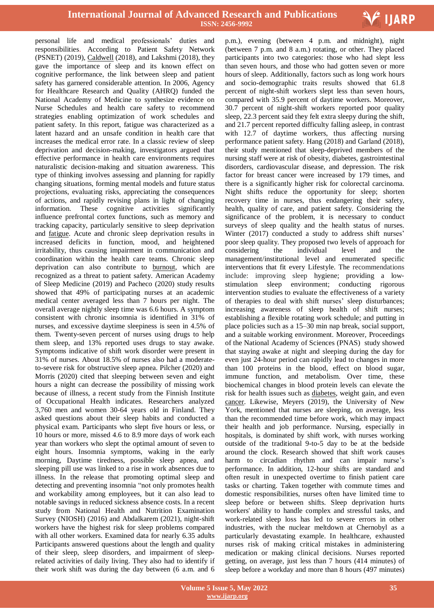

personal life and medical professionals' duties and responsibilities. According to Patient Safety Network (PSNET) (2019), Caldwell (2018), and Lakshmi (2018), they gave the importance of sleep and its known effect on cognitive performance, the link between sleep and patient safety has garnered considerable attention. In 2006, Agency for Healthcare Research and Quality (AHRQ) funded the National Academy of Medicine to synthesize evidence on Nurse Schedules and health care safety to recommend strategies enabling [optimization](https://psnet.ahrq.gov/issue/revisiting-duty-hour-limits-iom-recommendations-patient-safety-and-resident-education) of work schedules and [patient](https://psnet.ahrq.gov/issue/resident-duty-hours-enhancing-sleep-supervision-and-safety) safety. In this report, fatigue was characterized as a latent hazard and an unsafe condition in health care that increases the medical error rate. In a classic [review](http://www.ncbi.nlm.nih.gov/pubmed/11014055) of sleep deprivation and decision-making, investigators argued that effective performance in health care environments requires naturalistic decision-making and situation awareness. This type of thinking involves assessing and planning for rapidly changing situations, forming mental models and future status projections, evaluating risks, appreciating the consequences of actions, and rapidly revising plans in light of changing information. These cognitive activities significantly influence prefrontal cortex functions, such as memory and tracking capacity, particularly sensitive to sleep deprivation and [fatigue.](http://www.ncbi.nlm.nih.gov/pubmed/19742409) Acute and chronic sleep deprivation results in [increased](http://www.ncbi.nlm.nih.gov/pubmed/22851809) deficits in function, mood, and heightened irritability, thus causing impairment in communication and coordination within the health care teams. Chronic sleep deprivation can also contribute to [burnout,](https://psnet.ahrq.gov/perspective/burnout-among-health-professionals-and-its-effect-patient-safety) which are recognized as a threat to patient safety. American Academy of Sleep Medicine (2019) and Pacheco (2020) study results showed that 49% of participating nurses at an academic medical center averaged less than 7 hours per night. The overall average nightly sleep time was 6.6 hours. A symptom consistent with chronic insomnia is identified in 31% of nurses, and excessive daytime sleepiness is seen in 4.5% of them. Twenty-seven percent of nurses using drugs to help them sleep, and 13% reported uses drugs to stay awake. Symptoms indicative of shift work disorder were present in 31% of nurses. About 18.5% of nurses also had a moderateto-severe risk for obstructive sleep apnea. Pilcher (2020) and Morris (2020) cited that sleeping between seven and eight hours a night can decrease the possibility of missing work because of illness, a recent study from the Finnish Institute of Occupational Health indicates. Researchers analyzed 3,760 men and women 30-64 years old in Finland. They asked questions about their sleep habits and conducted a physical exam. Participants who slept five hours or less, or 10 hours or more, missed 4.6 to 8.9 more days of work each year than workers who slept the optimal amount of seven to eight hours. Insomnia symptoms, waking in the early morning, Daytime tiredness, possible sleep apnea, and sleeping pill use was linked to a rise in work absences due to illness. In the release that promoting optimal sleep and detecting and preventing insomnia "not only promotes health and workability among employees, but it can also lead to notable savings in reduced sickness absence costs. In a recent study from National Health and Nutrition [Examination](http://www.cdc.gov/nchs/nhanes/) [Survey](http://www.cdc.gov/nchs/nhanes/) (NIOSH) (2016) and Abdalkarem (2021), night-shift workers have the highest risk for sleep problems compared with all other workers. Examined data for nearly 6.35 adults Participants answered questions about the length and quality of their sleep, sleep disorders, and impairment of sleeprelated activities of daily living. They also had to identify if their work shift was during the day between (6 a.m. and 6

 p.m.), evening (between 4 p.m. and midnight), night (between 7 p.m. and 8 a.m.) rotating, or other. They placed participants into two categories: those who had slept less than seven hours, and those who had gotten seven or more hours of sleep. Additionally, factors such as long work hours and socio-demographic traits results showed that 61.8 percent of night-shift workers slept less than seven hours, compared with 35.9 percent of daytime workers. Moreover, 30.7 percent of night-shift workers reported poor quality sleep, 22.3 percent said they felt extra sleepy during the shift, and 21.7 percent reported difficulty falling asleep, in contrast with 12.7 of daytime workers, thus affecting nursing performance patient safety. Hang (2018) and Garland (2018), their study mentioned that sleep-deprived members of the nursing staff were at risk of obesity, diabetes, gastrointestinal disorders, cardiovascular disease, and depression. The risk factor for breast cancer were increased by 179 times, and there is a significantly higher risk for colorectal carcinoma. Night shifts reduce the opportunity for sleep; shorten recovery time in nurses, thus endangering their safety, health, quality of care, and patient safety. Considering the significance of the problem, it is necessary to conduct surveys of sleep quality and the health status of nurses. Winter (2017) conducted a study to address shift nurses' poor sleep quality. They proposed two levels of approach for considering the individual level and the management/institutional level and enumerated specific interventions that fit every Lifestyle. The recommendations include: improving sleep hygiene; providing a lowstimulation sleep environment; conducting rigorous intervention studies to evaluate the effectiveness of a variety of therapies to deal with shift nurses' sleep disturbances; increasing awareness of sleep health of shift nurses; establishing a flexible rotating work schedule; and putting in place policies such as a 15–30 min nap break, social support, and a suitable working environment. Moreover, Proceedings of the National Academy of Sciences (PNAS) study showed that staying awake at night and sleeping during the day for even just 24-hour period can rapidly lead to changes in more than 100 proteins in the blood, effect on blood sugar, immune function, and metabolism. Over time, these biochemical changes in blood protein levels can elevate the risk for health issues such as [diabetes,](https://www.everydayhealth.com/type-2-diabetes/guide/) weight gain, and even [cancer.](https://www.everydayhealth.com/cancer/guide/) Likewise, Meyers (2019), the University of New York, mentioned that nurses are sleeping, on average, less than the recommended time before work, which may impact their health and job performance. Nursing, especially in hospitals, is dominated by shift work, with nurses working outside of the traditional 9-to-5 day to be at the bedside around the clock. Research showed that shift work causes harm to circadian rhythm and can impair nurse's performance. In addition, 12-hour shifts are standard and often result in unexpected overtime to finish patient care tasks or charting. Taken together with commute times and domestic responsibilities, nurses often have limited time to sleep before or between shifts. Sleep deprivation hurts workers' ability to handle complex and stressful tasks, and work-related sleep loss has led to severe errors in other industries, with the nuclear meltdown at Chernobyl as a particularly devastating example. In healthcare, exhausted nurses risk of making critical mistakes in administering medication or making clinical decisions. Nurses reported getting, on average, just less than 7 hours (414 minutes) of sleep before a workday and more than 8 hours (497 minutes)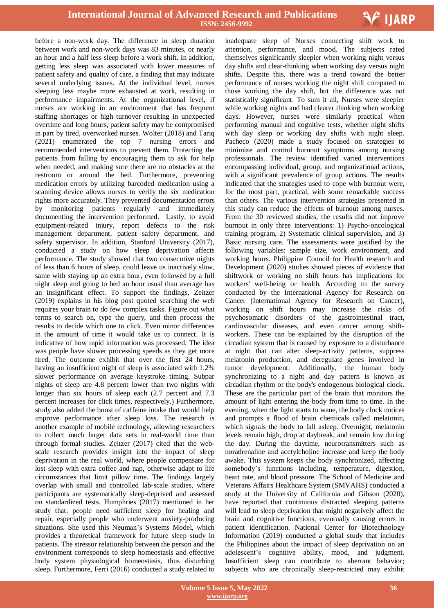

before a non-work day. The difference in sleep duration between work and non-work days was 83 minutes, or nearly an hour and a half less sleep before a work shift. In addition, getting less sleep was associated with lower measures of patient safety and quality of care, a finding that may indicate several underlying issues. At the individual level, nurses sleeping less maybe more exhausted at work, resulting in performance impairments. At the organizational level, if nurses are working in an environment that has frequent staffing shortages or high turnover resulting in unexpected overtime and long hours, patient safety may be compromised in part by tired, overworked nurses. Wolter (2018) and Tariq (2021) enumerated the top 7 nursing errors and recommended interventions to prevent them. Protecting the patients from falling by encouraging them to ask for help when needed, and making sure there are no obstacles at the restroom or around the bed. Furthermore, preventing medication errors by utilizing barcoded medication using a scanning device allows nurses to verify the six medication rights more accurately. They prevented documentation errors by monitoring patients regularly and immediately documenting the intervention performed. Lastly, to avoid equipment-related injury, report defects to the risk management department, patient safety department, and safety supervisor. In addition, Stanford University (2017), conducted a study on how sleep deprivation affects performance. The study showed that two consecutive nights of less than 6 hours of sleep, could leave us inactively slow, same with staying up an extra hour, even followed by a full night sleep and going to bed an hour usual than average has an insignificant effect. To support the findings, Zeitzer (2019) explains in his blog post quoted searching the web requires your brain to do few complex tasks. Figure out what terms to search on, type the query, and then process the results to decide which one to click. Even minor differences in the amount of time it would take us to connect. It is indicative of how rapid information was processed. The idea was people have slower processing speeds as they get more tired. The outcome exhibit that over the first 24 hours, having an insufficient night of sleep is associated with 1.2% slower performance on average keystroke timing. Subpar nights of sleep are 4.8 percent lower than two nights with longer than six hours of sleep each (2.7 percent and 7.3 percent increases for click times, respectively.) Furthermore, study also added the boost of caffeine intake that would help improve performance after sleep loss. The research is another example of mobile technology, allowing researchers to collect much larger data sets in real-world time than through formal studies. Zeitzer (2017) cited that the webscale research provides insight into the impact of sleep deprivation in the real world, where people compensate for lost sleep with extra coffee and nap, otherwise adapt to life circumstances that limit pillow time. The findings largely overlap with small and controlled lab-scale studies, where participants are systematically sleep-deprived and assessed on standardized tests. Humphries (2017) mentioned in her study that, people need sufficient sleep for healing and repair, especially people who underwent anxiety-producing situations. She used this Neuman's Systems Model, which provides a theoretical framework for future sleep study in patients. The stressor relationship between the person and the environment corresponds to sleep homeostasis and effective body system physiological homeostasis, thus disturbing sleep. Furthermore, Ferri (2016) conducted a study related to

 inadequate sleep of Nurses connecting shift work to attention, performance, and mood. The subjects rated themselves significantly sleepier when working night versus day shifts and clear-thinking when working day versus night shifts. Despite this, there was a trend toward the better performance of nurses working the night shift compared to those working the day shift, but the difference was not statistically significant. To sum it all, Nurses were sleepier while working nights and had clearer thinking when working days. However, nurses were similarly practical when performing manual and cognitive tests, whether night shifts with day sleep or working day shifts with night sleep. Pacheco (2020) made a study focused on strategies to minimize and control burnout symptoms among nursing professionals. The review identified varied interventions encompassing individual, group, and organizational actions, with a significant prevalence of group actions. The results indicated that the strategies used to cope with burnout were, for the most part, practical, with some remarkable success than others. The various intervention strategies presented in this study can reduce the effects of burnout among nurses. From the 30 reviewed studies, the results did not improve burnout in only three interventions: 1) Psycho-oncological training program, 2) Systematic clinical supervision, and 3) Basic nursing care. The assessments were justified by the following variables: sample size, work environment, and working hours. Philippine Council for Health research and Development (2020) studies showed pieces of evidence that shiftwork or working on shift hours has implications for workers' well-being or health. According to the survey conducted by the International Agency for Research on Cancer (International Agency for Research on Cancer), working on shift hours may increase the risks of psychosomatic disorders of the gastrointestinal tract, cardiovascular diseases, and even cancer among shiftworkers. These can be explained by the disruption of the circadian system that is caused by exposure to a disturbance at night that can alter sleep-activity patterns, suppress melatonin production, and deregulate genes involved in tumor development. Additionally, the human body synchronizing to a night and day pattern is known as circadian rhythm or the body's endogenous biological clock. These are the particular part of the brain that monitors the amount of light entering the body from time to time. In the evening, when the light starts to wane, the body clock notices and prompts a flood of brain chemicals called melatonin, which signals the body to fall asleep. Overnight, melatonin levels remain high, drop at daybreak, and remain low during the day. During the daytime, neurotransmitters such as noradrenaline and acetylcholine increase and keep the body awake. This system keeps the body synchronized, affecting somebody's functions including, temperature, digestion, heart rate, and blood pressure. The School of Medicine and Veterans Affairs Healthcare System (SMVAHS) conducted a study at the University of California and Gibson (2020), have reported that continuous distracted sleeping patterns will lead to sleep deprivation that might negatively affect the brain and cognitive functions, eventually causing errors in patient identification. National Center for Biotechnology Information (2019) conducted a global study that includes the Philippines about the impact of sleep deprivation on an adolescent's cognitive ability, mood, and judgment. Insufficient sleep can contribute to aberrant behavior; subjects who are chronically sleep-restricted may exhibit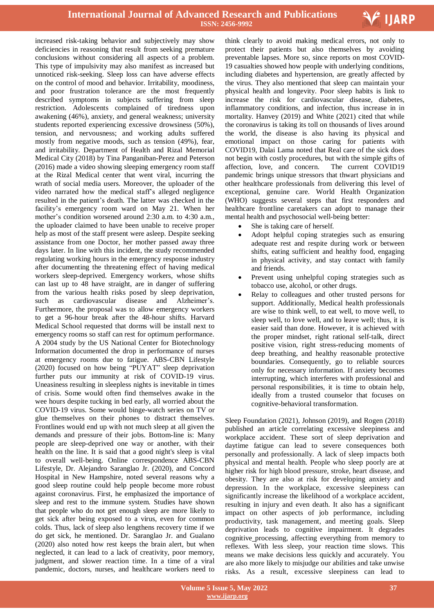

increased risk-taking behavior and subjectively may show deficiencies in reasoning that result from seeking premature conclusions without considering all aspects of a problem. This type of impulsivity may also manifest as increased but unnoticed risk-seeking. Sleep loss can have adverse effects on the control of mood and behavior. Irritability, moodiness, and poor frustration tolerance are the most frequently described symptoms in subjects suffering from sleep restriction. Adolescents complained of tiredness upon awakening (46%), anxiety, and general weakness; university students reported experiencing excessive drowsiness (50%), tension, and nervousness; and working adults suffered mostly from negative moods, such as tension (49%), fear, and irritability. Department of Health and Rizal Memorial Medical City (2018) by Tina Panganiban-Perez and Peterson (2016) made a video showing sleeping emergency room staff at the Rizal Medical center that went viral, incurring the wrath of social media users. Moreover, the uploader of the video narrated how the medical staff's alleged negligence resulted in the patient's death. The latter was checked in the facility's emergency room ward on May 21. When her mother's condition worsened around 2:30 a.m. to 4:30 a.m., the uploader claimed to have been unable to receive proper help as most of the staff present were asleep. Despite seeking assistance from one Doctor, her mother passed away three days later. In line with this incident, the study recommended regulating working hours in the emergency response industry after documenting the threatening effect of having medical workers sleep-deprived. Emergency workers, whose shifts can last up to 48 have straight, are in danger of suffering from the various health risks posed by sleep deprivation, such as cardiovascular disease and Alzheimer's. Furthermore, the proposal was to allow emergency workers to get a 96-hour break after the 48-hour shifts. Harvard Medical School requested that dorms will be install next to emergency rooms so staff can rest for optimum performance. A 2004 study by the US National Center for Biotechnology Information documented the drop in performance of nurses at emergency rooms due to fatigue. ABS-CBN Lifestyle (2020) focused on how being "PUYAT" sleep deprivation further puts our immunity at risk of COVID-19 virus. Uneasiness resulting in sleepless nights is inevitable in times of crisis. Some would often find themselves awake in the wee hours despite tucking in bed early, all worried about the COVID-19 virus. Some would binge-watch series on TV or glue themselves on their phones to distract themselves. Frontlines would end up with not much sleep at all given the demands and pressure of their jobs. Bottom-line is: Many people are sleep-deprived one way or another, with their health on the line. It is said that a good night's sleep is vital to overall well-being. Online correspondence ABS-CBN Lifestyle, Dr. Alejandro Saranglao Jr. (2020), and Concord Hospital in New Hampshire, noted several reasons why a good sleep routine could help people become more robust against coronavirus. First, he emphasized the importance of sleep and rest to the immune system. Studies have shown that people who do not get enough sleep are more likely to get sick after being exposed to a virus, even for common colds. Thus, lack of sleep also lengthens recovery time if we do get sick, he mentioned. Dr. Saranglao Jr. and Gualano (2020) also noted how rest keeps the brain alert, but when neglected, it can lead to a lack of creativity, poor memory, judgment, and slower reaction time. In a time of a viral pandemic, doctors, nurses, and healthcare workers need to

 think clearly to avoid making medical errors, not only to protect their patients but also themselves by avoiding preventable lapses. More so, since reports on most COVID-19 casualties showed how people with underlying conditions, including diabetes and hypertension, are greatly affected by the virus. They also mentioned that sleep can maintain your physical health and longevity. Poor sleep habits is link to increase the risk for cardiovascular disease, diabetes, inflammatory conditions, and infection, thus increase in in mortality. Hanvey (2019) and White (2021) cited that while the coronavirus is taking its toll on thousands of lives around the world, the disease is also having its physical and emotional impact on those caring for patients with COVID19, Dalai Lama noted that Real care of the sick does not begin with costly procedures, but with the simple gifts of affection, love, and concern. The current COVID19 pandemic brings unique stressors that thwart physicians and other healthcare professionals from delivering this level of exceptional, genuine care. World Health Organization (WHO) suggests several steps that first responders and healthcare frontline caretakers can adopt to manage their mental health and psychosocial well-being better:

- She is taking care of herself.
- Adopt helpful coping strategies such as ensuring adequate rest and respite during work or between shifts, eating sufficient and healthy food, engaging in physical activity, and stay contact with family and friends.
- Prevent using unhelpful coping strategies such as tobacco use, alcohol, or other drugs.
- Relay to colleagues and other trusted persons for support. Additionally, Medical health professionals are wise to think well, to eat well, to move well, to sleep well, to love well, and to leave well; thus, it is easier said than done. However, it is achieved with the proper mindset, right rational self-talk, direct positive vision, right stress-reducing moments of deep breathing, and healthy reasonable protective boundaries. Consequently, go to reliable sources only for necessary information. If anxiety becomes interrupting, which interferes with professional and personal responsibilities, it is time to obtain help, ideally from a trusted counselor that focuses on cognitive-behavioral transformation.

Sleep Foundation (2021), Johnson (2019), and Rogen (2018) published an article correlating excessive sleepiness and workplace accident. These sort of sleep [deprivation](https://www.sleepfoundation.org/sleep-deprivation) and daytime fatigue can lead to severe consequences both personally and professionally. A lack of sleep impacts both physical and mental health. People who sleep poorly are at higher risk for high blood pressure, stroke, heart disease, and obesity. They are also at risk for developing anxiety and depression. In the workplace, excessive sleepiness can significantly increase the likelihood of a workplace accident, resulting in injury and even death. It also has a significant impact on other aspects of job performance, including productivity, task management, and meeting goals. Sleep deprivation leads to [cognitive](https://www.sleepfoundation.org/sleep-deprivation/lack-of-sleep-and-cognitive-impairment) impairment. It degrades cognitive [processing,](https://pubmed.ncbi.nlm.nih.gov/19742409/) affecting everything from memory to reflexes. With less sleep, your [reaction](https://www.sleepfoundation.org/sleep-deprivation/sleep-deprivation-and-reaction-time) time slows. This means we make decisions less quickly and [accurately.](https://www.cdc.gov/workplacehealthpromotion/initiatives/resource-center/pdf/WHRC-Brief-Sleep-508.pdf) You are also more likely to misjudge our abilities and take unwise risks. As a result, excessive sleepiness can lead to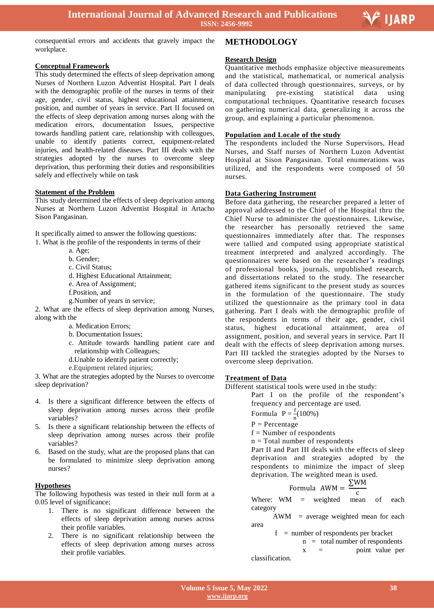

Ξ

consequential errors and accidents that gravely impact the workplace.

# **Conceptual Framework**

This study determined the effects of sleep deprivation among Nurses of Northern Luzon Adventist Hospital. Part I deals with the demographic profile of the nurses in terms of their age, gender, civil status, highest educational attainment, position, and number of years in service. Part II focused on the effects of sleep deprivation among nurses along with the medication errors, documentation Issues, perspective towards handling patient care, relationship with colleagues, unable to identify patients correct, equipment-related injuries, and health-related diseases. Part III deals with the strategies adopted by the nurses to overcome sleep deprivation, thus performing their duties and responsibilities safely and effectively while on task

#### **Statement of the Problem**

This study determined the effects of sleep deprivation among Nurses at Northern Luzon Adventist Hospital in Artacho Sison Pangasinan.

It specifically aimed to answer the following questions: 1. What is the profile of the respondents in terms of their

- a. Age;
- b. Gender;
- c. Civil Status;
- d. Highest Educational Attainment;
- e. Area of Assignment;
- f.Position, and
- g.Number of years in service;

2. What are the effects of sleep deprivation among Nurses, along with the

- a. Medication Errors;
- b. Documentation Issues;
- c. Attitude towards handling patient care and relationship with Colleagues;
- d.Unable to identify patient correctly;
- e.Equipment related injuries;

3. What are the strategies adopted by the Nurses to overcome sleep deprivation?

- 4. Is there a significant difference between the effects of sleep deprivation among nurses across their profile variables?
- 5. Is there a significant relationship between the effects of sleep deprivation among nurses across their profile variables?
- 6. Based on the study, what are the proposed plans that can be formulated to minimize sleep deprivation among nurses?

#### **Hypotheses**

The following hypothesis was tested in their null form at a 0.05 level of significance;

- 1. There is no significant difference between the effects of sleep deprivation among nurses across their profile variables.
- 2. There is no significant relationship between the effects of sleep deprivation among nurses across their profile variables.

#### **METHODOLOGY**

#### **Research Design**

Quantitative methods emphasize objective measurements and the statistical, mathematical, or numerical analysis of data collected through questionnaires, surveys, or by manipulating pre-existing statistical data using computational techniques. Quantitative research focuses on gathering numerical data, generalizing it across the group, and explaining a particular phenomenon.

#### **Population and Locale of the study**

The respondents included the Nurse Supervisors, Head Nurses, and Staff nurses of Northern Luzon Adventist Hospital at Sison Pangasinan. Total enumerations was utilized, and the respondents were composed of 50 nurses.

#### **Data Gathering Instrument**

Before data gathering, the researcher prepared a letter of approval addressed to the Chief of the Hospital thru the Chief Nurse to administer the questionnaires. Likewise, the researcher has personally retrieved the same questionnaires immediately after that. The responses were tallied and computed using appropriate statistical treatment interpreted and analyzed accordingly. The questionnaires were based on the researcher's readings of professional books, journals, unpublished research, and dissertations related to the study. The researcher gathered items significant to the present study as sources in the formulation of the questionnaire. The study utilized the questionnaire as the primary tool in data gathering. Part I deals with the demographic profile of the respondents in terms of their age, gender, civil status, highest educational attainment, area of assignment, position, and several years in service. Part II dealt with the effects of sleep deprivation among nurses. Part III tackled the strategies adopted by the Nurses to overcome sleep deprivation.

#### **Treatment of Data**

Different statistical tools were used in the study:

Part I on the profile of the respondent's frequency and percentage are used.

Formula 
$$
P = \frac{f}{a}(100\%)
$$

$$
P = Percentage
$$

 $f =$ Number of respondents

n = Total number of respondents

Part II and Part III deals with the effects of sleep deprivation and strategies adopted by the respondents to minimize the impact of sleep deprivation. The weighted mean is used.

Formula 
$$
AWM = \frac{\Sigma WM}{\Sigma}
$$

 $\frac{c}{\text{mean}}$  of Where: WM = weighted mean of each category

 AWM = average weighted mean for each area

 $f =$  number of respondents per bracket

 $n =$  total number of respondents

 $x = point value per$ 

classification.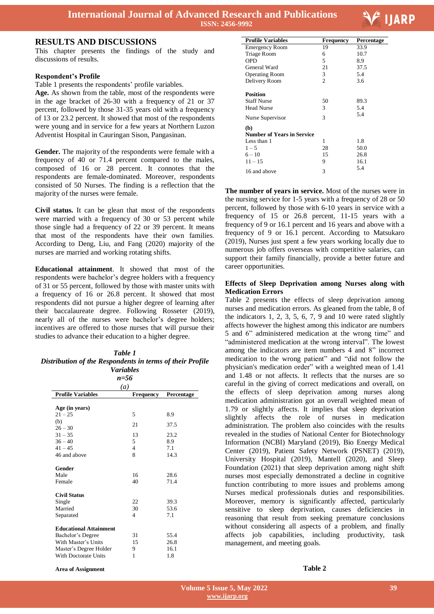

#### **RESULTS AND DISCUSSIONS**

This chapter presents the findings of the study and discussions of results.

#### **Respondent's Profile**

Table 1 presents the respondents' profile variables.

**Age.** As shown from the table, most of the respondents were in the age bracket of 26-30 with a frequency of 21 or 37 percent, followed by those 31-35 years old with a frequency of 13 or 23.2 percent. It showed that most of the respondents were young and in service for a few years at Northern Luzon Adventist Hospital in Cauringan Sison, Pangasinan.

**Gender.** The majority of the respondents were female with a frequency of 40 or 71.4 percent compared to the males, composed of 16 or 28 percent. It connotes that the respondents are female-dominated. Moreover, respondents consisted of 50 Nurses. The finding is a reflection that the majority of the nurses were female.

**Civil status.** It can be glean that most of the respondents were married with a frequency of 30 or 53 percent while those single had a frequency of 22 or 39 percent. It means that most of the respondents have their own families. According to Deng, Liu, and Fang (2020) majority of the nurses are married and working rotating shifts.

**Educational attainment**. It showed that most of the respondents were bachelor's degree holders with a frequency of 31 or 55 percent, followed by those with master units with a frequency of 16 or 26.8 percent. It showed that most respondents did not pursue a higher degree of learning after their baccalaureate degree. Following Rosseter (2019), nearly all of the nurses were bachelor's degree holders; incentives are offered to those nurses that will pursue their studies to advance their education to a higher degree.

#### *Table 1 Distribution of the Respondents in terms of their Profile Variables*

| n=56                                                                                                                        |                                           |                             |  |
|-----------------------------------------------------------------------------------------------------------------------------|-------------------------------------------|-----------------------------|--|
| $\left(a\right)$                                                                                                            |                                           |                             |  |
| <b>Profile Variables</b>                                                                                                    | <b>Frequency</b>                          | Percentage                  |  |
| Age (in years)<br>$21 - 25$<br>(b)                                                                                          | 5<br>21                                   | 8.9<br>37.5                 |  |
| $26 - 30$<br>$31 - 35$<br>$36 - 40$<br>$41 - 45$<br>46 and above                                                            | 13<br>5<br>$\overline{4}$<br>$\mathbf{8}$ | 23.2<br>8.9<br>7.1<br>14.3  |  |
| Gender<br>Male<br>Female                                                                                                    | 16<br>40                                  | 28.6<br>71.4                |  |
| <b>Civil Status</b><br>Single<br>Married<br>Separated                                                                       | 22<br>30<br>4                             | 39.3<br>53.6<br>7.1         |  |
| <b>Educational Attainment</b><br>Bachelor's Degree<br>With Master's Units<br>Master's Degree Holder<br>With Doctorate Units | 31<br>15<br>9<br>1                        | 55.4<br>26.8<br>16.1<br>1.8 |  |

| <b>Profile Variables</b>                                                                    | Frequency          | Percentage                  |
|---------------------------------------------------------------------------------------------|--------------------|-----------------------------|
| <b>Emergency Room</b>                                                                       | 19                 | 33.9                        |
| Triage Room                                                                                 | 6                  | 10.7                        |
| OPD                                                                                         | 5                  | 8.9                         |
| General Ward                                                                                | 21                 | 37.5                        |
| <b>Operating Room</b>                                                                       | 3                  | 5.4                         |
| Delivery Room                                                                               | $\overline{c}$     | 3.6                         |
| <b>Position</b><br><b>Staff Nurse</b><br><b>Head Nurse</b><br>Nurse Supervisor              | 50<br>3<br>3       | 89.3<br>5.4<br>5.4          |
| (b)<br><b>Number of Years in Service</b><br>Less than 1<br>$1 - 5$<br>$6 - 10$<br>$11 - 15$ | 1<br>28<br>15<br>9 | 1.8<br>50.0<br>26.8<br>16.1 |
| 16 and above                                                                                | 3                  | 5.4                         |

**The number of years in service.** Most of the nurses were in the nursing service for 1-5 years with a frequency of 28 or 50 percent, followed by those with 6-10 years in service with a frequency of 15 or 26.8 percent, 11-15 years with a frequency of 9 or 16.1 percent and 16 years and above with a frequency of 9 or 16.1 percent. According to Matsukaro (2019), Nurses just spent a few years working locally due to numerous job offers overseas with competitive salaries, can support their family financially, provide a better future and career opportunities.

#### **Effects of Sleep Deprivation among Nurses along with Medication Errors**

Table 2 presents the effects of sleep deprivation among nurses and medication errors. As gleaned from the table, 8 of the indicators 1, 2, 3, 5, 6, 7, 9 and 10 were rated slightly affects however the highest among this indicator are numbers 5 and 6" administered medication at the wrong time" and "administered medication at the wrong interval". The lowest among the indicators are item numbers 4 and 8" incorrect medication to the wrong patient" and "did not follow the physician's medication order" with a weighted mean of 1.41 and 1.48 or not affects. It reflects that the nurses are so careful in the giving of correct medications and overall, on the effects of sleep deprivation among nurses along medication administration got an overall weighted mean of 1.79 or slightly affects. It implies that sleep deprivation slightly affects the role of nurses in medication administration. The problem also coincides with the results revealed in the studies of National Center for Biotechnology Information (NCBI) Maryland (2019), Bio Energy Medical Center (2019), Patient Safety Network (PSNET) (2019), University Hospital (2019), Mantell (2020), and Sleep Foundation (2021) that sleep deprivation among night shift nurses most especially demonstrated a decline in cognitive function contributing to more issues and problems among Nurses medical professionals duties and responsibilities. Moreover, memory is significantly affected, particularly sensitive to sleep deprivation, causes deficiencies in reasoning that result from seeking premature conclusions without considering all aspects of a problem, and finally affects job capabilities, including productivity, task management, and meeting goals.

**Table 2**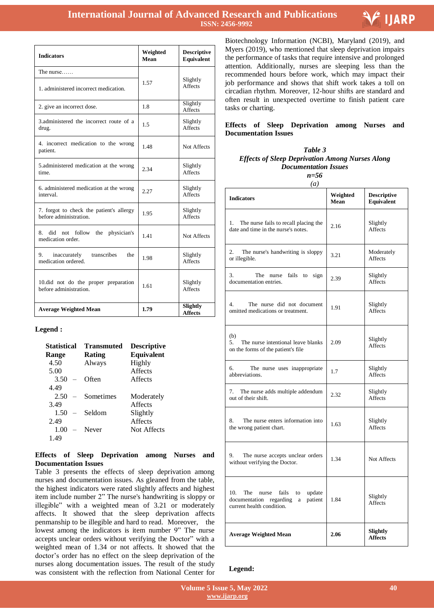

| <b>Indicators</b>                                                  | Weighted<br>Mean | <b>Descriptive</b><br><b>Equivalent</b> |
|--------------------------------------------------------------------|------------------|-----------------------------------------|
| The nurse                                                          |                  |                                         |
| 1. administered incorrect medication.                              | 1.57             | Slightly<br><b>Affects</b>              |
| 2. give an incorrect dose.                                         | 1.8              | Slightly<br><b>Affects</b>              |
| 3. administered the incorrect route of a<br>drug.                  | 1.5              | Slightly<br><b>Affects</b>              |
| 4. incorrect medication to the wrong<br>patient.                   | 1.48             | Not Affects                             |
| 5. administered medication at the wrong<br>time.                   | 2.34             | Slightly<br><b>Affects</b>              |
| 6. administered medication at the wrong<br>interval.               | 2.27             | Slightly<br><b>Affects</b>              |
| 7. forgot to check the patient's allergy<br>before administration. | 1.95             | Slightly<br><b>Affects</b>              |
| did not follow the physician's<br>8.<br>medication order.          | 1.41             | Not Affects                             |
| transcribes<br>9.<br>inaccurately<br>the<br>medication ordered.    | 1.98             | Slightly<br><b>Affects</b>              |
| 10.did not do the proper preparation<br>before administration.     | 1.61             | Slightly<br><b>Affects</b>              |
| <b>Average Weighted Mean</b>                                       | 1.79             | Slightly<br><b>Affects</b>              |

#### **Legend :**

| <b>Statistical</b> | <b>Transmuted</b> | <b>Descriptive</b> |
|--------------------|-------------------|--------------------|
| <b>Range</b>       | Rating            | Equivalent         |
| 4.50               | Always            | Highly             |
| 5.00               |                   | <b>Affects</b>     |
| $3.50 -$           | Often             | <b>Affects</b>     |
| 4.49               |                   |                    |
| 2.50<br>$\equiv$   | Sometimes         | Moderately         |
| 3.49               |                   | <b>Affects</b>     |
| 1.50<br>$\equiv$   | Seldom            | Slightly           |
| 2.49               |                   | <b>Affects</b>     |
| 1.00<br>$-$        | Never             | <b>Not Affects</b> |
| 1.49               |                   |                    |

#### **Effects of Sleep Deprivation among Nurses and Documentation Issues**

Table 3 presents the effects of sleep deprivation among nurses and documentation issues. As gleaned from the table, the highest indicators were rated slightly affects and highest item include number 2" The nurse's handwriting is sloppy or illegible" with a weighted mean of 3.21 or moderately affects. It showed that the sleep deprivation affects penmanship to be illegible and hard to read. Moreover, the lowest among the indicators is item number 9" The nurse accepts unclear orders without verifying the Doctor" with a weighted mean of 1.34 or not affects. It showed that the doctor's order has no effect on the sleep deprivation of the nurses along documentation issues. The result of the study was consistent with the reflection from National Center for

 Biotechnology Information (NCBI), Maryland (2019), and Myers (2019), who mentioned that sleep deprivation impairs the performance of tasks that require intensive and prolonged attention. Additionally, nurses are sleeping less than the recommended hours before work, which may impact their job performance and shows that shift work takes a toll on circadian rhythm. Moreover, 12-hour shifts are standard and often result in unexpected overtime to finish patient care tasks or charting.

#### **Effects of Sleep Deprivation among Nurses and Documentation Issues**

### *Table 3 Effects of Sleep Deprivation Among Nurses Along Documentation Issues*

*n=56*

| $\left(a\right)$                                                                                                                   |                  |                                  |  |
|------------------------------------------------------------------------------------------------------------------------------------|------------------|----------------------------------|--|
| <b>Indicators</b>                                                                                                                  | Weighted<br>Mean | <b>Descriptive</b><br>Equivalent |  |
| 1.<br>The nurse fails to recall placing the<br>date and time in the nurse's notes.                                                 | 2.16             | Slightly<br>Affects              |  |
| 2.<br>The nurse's handwriting is sloppy<br>or illegible.                                                                           | 3.21             | Moderately<br>Affects            |  |
| 3.<br>The nurse<br>fails<br>sign<br>to<br>documentation entries.                                                                   | 2.39             | Slightly<br>Affects              |  |
| The nurse did not document<br>4.<br>omitted medications or treatment.                                                              | 1.91             | Slightly<br>Affects              |  |
| (b)<br>5.<br>The nurse intentional leave blanks<br>on the forms of the patient's file                                              | 2.09             | Slightly<br>Affects              |  |
| 6.<br>The nurse uses inappropriate<br>abbreviations.                                                                               | 1.7              | Slightly<br>Affects              |  |
| 7.<br>The nurse adds multiple addendum<br>out of their shift.                                                                      | 2.32             | Slightly<br>Affects              |  |
| 8.<br>The nurse enters information into<br>the wrong patient chart.                                                                | 1.63             | Slightly<br>Affects              |  |
| 9.<br>The nurse accepts unclear orders<br>without verifying the Doctor.                                                            | 1.34             | Not Affects                      |  |
| 10.<br>The<br>fails<br>update<br>nurse<br>to<br>documentation<br>regarding<br>patient<br>$\mathbf{a}$<br>current health condition. | 1.84             | Slightly<br>Affects              |  |
| <b>Average Weighted Mean</b>                                                                                                       | 2.06             | Slightly<br><b>Affects</b>       |  |

#### **Legend:**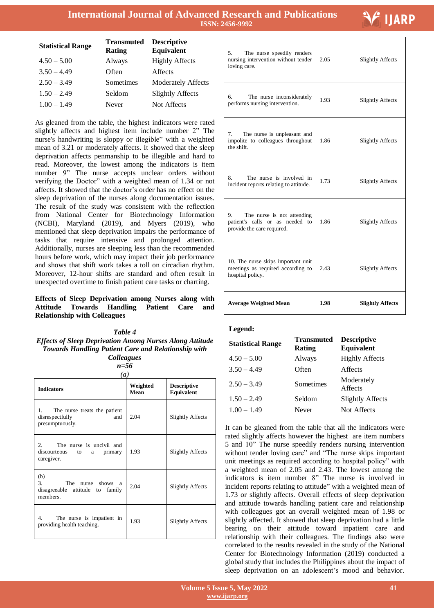**International Journal of Advanced Research and Publications ISSN: 2456-9992**

 $\mathbf{r}$ 

# \* IJARP

| <b>Statistical Range</b> | <b>Transmuted</b><br>Rating | <b>Descriptive</b><br>Equivalent |
|--------------------------|-----------------------------|----------------------------------|
| $4.50 - 5.00$            | Always                      | <b>Highly Affects</b>            |
| $3.50 - 4.49$            | Often                       | Affects                          |
| $2.50 - 3.49$            | Sometimes                   | <b>Moderately Affects</b>        |
| $1.50 - 2.49$            | Seldom                      | <b>Slightly Affects</b>          |
| $1.00 - 1.49$            | Never                       | Not Affects                      |
|                          |                             |                                  |

As gleaned from the table, the highest indicators were rated slightly affects and highest item include number 2" The nurse's handwriting is sloppy or illegible" with a weighted mean of 3.21 or moderately affects. It showed that the sleep deprivation affects penmanship to be illegible and hard to read. Moreover, the lowest among the indicators is item number 9" The nurse accepts unclear orders without verifying the Doctor" with a weighted mean of 1.34 or not affects. It showed that the doctor's order has no effect on the sleep deprivation of the nurses along documentation issues. The result of the study was consistent with the reflection from National Center for Biotechnology Information (NCBI), Maryland (2019), and Myers (2019), who mentioned that sleep deprivation impairs the performance of tasks that require intensive and prolonged attention. Additionally, nurses are sleeping less than the recommended hours before work, which may impact their job performance and shows that shift work takes a toll on circadian rhythm. Moreover, 12-hour shifts are standard and often result in unexpected overtime to finish patient care tasks or charting.

**Effects of Sleep Deprivation among Nurses along with Attitude Towards Handling Patient Care and Relationship with Colleagues**

#### *Table 4 Effects of Sleep Deprivation Among Nurses Along Attitude Towards Handling Patient Care and Relationship with Colleagues*

| ×<br>۰.                |  |
|------------------------|--|
| $\sim$<br>۰.<br>×<br>v |  |

| (a)                                                                                      |                  |                                  |  |
|------------------------------------------------------------------------------------------|------------------|----------------------------------|--|
| <b>Indicators</b>                                                                        | Weighted<br>Mean | <b>Descriptive</b><br>Equivalent |  |
| 1.<br>The nurse treats the patient<br>disrespectfully<br>and<br>presumptuously.          | 2.04             | <b>Slightly Affects</b>          |  |
| The nurse is uncivil and<br>$2^{\circ}$<br>discourteous to<br>primary<br>a<br>caregiver. | 1.93             | <b>Slightly Affects</b>          |  |
| (b)<br>3.<br>The nurse shows a<br>disagreeable attitude to<br>family<br>members.         | 2.04             | <b>Slightly Affects</b>          |  |
| The nurse is impatient in<br>4.<br>providing health teaching.                            | 1.93             | <b>Slightly Affects</b>          |  |

| 5.<br>The nurse speedily renders<br>nursing intervention without tender<br>loving care.           | 2.05 | <b>Slightly Affects</b> |
|---------------------------------------------------------------------------------------------------|------|-------------------------|
| 6.<br>The nurse inconsiderately<br>performs nursing intervention.                                 | 1.93 | <b>Slightly Affects</b> |
| 7.<br>The nurse is unpleasant and<br>impolite to colleagues throughout<br>the shift.              | 1.86 | <b>Slightly Affects</b> |
| 8.<br>The nurse is involved in<br>incident reports relating to attitude.                          | 1.73 | <b>Slightly Affects</b> |
| 9.<br>The nurse is not attending<br>patient's calls or as needed to<br>provide the care required. | 1.86 | <b>Slightly Affects</b> |
| 10. The nurse skips important unit<br>meetings as required according to<br>hospital policy.       | 2.43 | <b>Slightly Affects</b> |
| <b>Average Weighted Mean</b>                                                                      | 1.98 | <b>Slightly Affects</b> |

#### **Legend:**

| <b>Statistical Range</b> | Transmuted<br>Rating | <b>Descriptive</b><br>Equivalent |
|--------------------------|----------------------|----------------------------------|
| $4.50 - 5.00$            | Always               | <b>Highly Affects</b>            |
| $3.50 - 4.49$            | Often                | Affects                          |
| $2.50 - 3.49$            | Sometimes            | Moderately<br>Affects            |
| $1.50 - 2.49$            | Seldom               | <b>Slightly Affects</b>          |
| $1.00 - 1.49$            | Never                | Not Affects                      |

It can be gleaned from the table that all the indicators were rated slightly affects however the highest are item numbers 5 and 10" The nurse speedily renders nursing intervention without tender loving care" and "The nurse skips important unit meetings as required according to hospital policy" with a weighted mean of 2.05 and 2.43. The lowest among the indicators is item number 8" The nurse is involved in incident reports relating to attitude" with a weighted mean of 1.73 or slightly affects. Overall effects of sleep deprivation and attitude towards handling patient care and relationship with colleagues got an overall weighted mean of 1.98 or slightly affected. It showed that sleep deprivation had a little bearing on their attitude toward inpatient care and relationship with their colleagues. The findings also were correlated to the results revealed in the study of the National Center for Biotechnology Information (2019) conducted a global study that includes the Philippines about the impact of sleep deprivation on an adolescent's mood and behavior.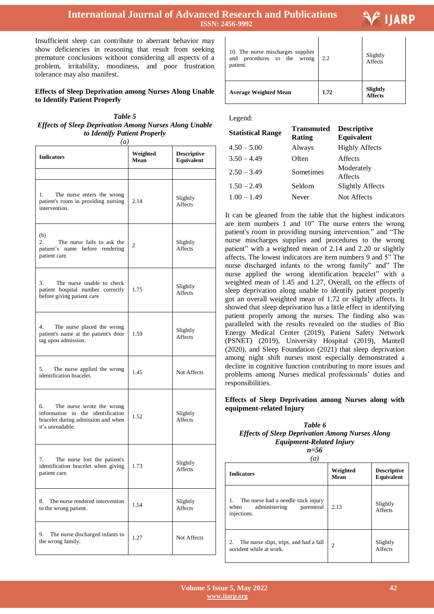# **International Journal of Advanced Research and Publications ISSN: 2456-9992**

 $\mathbf{I}$ 

Insufficient sleep can contribute to aberrant behavior may show deficiencies in reasoning that result from seeking premature conclusions without considering all aspects of a problem, irritability, moodiness, and poor frustration tolerance may also manifest.

#### **Effects of Sleep Deprivation among Nurses Along Unable to Identify Patient Properly**

*Table 5 Effects of Sleep Deprivation Among Nurses Along Unable to Identify Patient Properly*

*(a)*

| <b>Indicators</b>                                                                                                              | Weighted<br>Mean | <b>Descriptive</b><br><b>Equivalent</b> |
|--------------------------------------------------------------------------------------------------------------------------------|------------------|-----------------------------------------|
|                                                                                                                                |                  |                                         |
| 1.<br>The nurse enters the wrong<br>patient's room in providing nursing<br>intervention.                                       | 2.14             | Slightly<br>Affects                     |
| (b)<br>The nurse fails to ask the<br>2.<br>patient's name before rendering<br>patient care.                                    | 2                | Slightly<br><b>Affects</b>              |
| 3.<br>The nurse unable to check<br>patient hospital number correctly<br>before giving patient care                             | 1.75             | Slightly<br>Affects                     |
| 4.<br>The nurse placed the wrong<br>patient's name at the patient's door<br>tag upon admission.                                | 1.59             | Slightly<br>Affects                     |
| The nurse applied the wrong<br>5.<br>identification bracelet.                                                                  | 1.45             | Not Affects                             |
| 6.<br>The nurse wrote the wrong<br>information in the identification<br>bracelet during admission and when<br>it's unreadable. | 1.52             | Slightly<br>Affects                     |
| 7.<br>The nurse lost the patient's<br>identification bracelet when giving<br>patient care.                                     | 1.73             | Slightly<br>Affects                     |
| The nurse rendered intervention<br>8.<br>to the wrong patient.                                                                 | 1.54             | Slightly<br>Affects                     |
| 9.<br>The nurse discharged infants to<br>the wrong family.                                                                     | 1.27             | Not Affects                             |

| <b>Average Weighted Mean</b>                                                 | 1.72 | Slightly<br><b>Affects</b> |
|------------------------------------------------------------------------------|------|----------------------------|
| 10. The nurse mischarges supplies<br>and procedures to the wrong<br>patient. | 2.2  | Slightly<br>Affects        |

Legend:

| <b>Statistical Range</b> | <b>Transmuted</b><br>Rating | <b>Descriptive</b><br>Equivalent |
|--------------------------|-----------------------------|----------------------------------|
| $4.50 - 5.00$            | Always                      | <b>Highly Affects</b>            |
| $3.50 - 4.49$            | Often                       | Affects                          |
| $2.50 - 3.49$            | Sometimes                   | Moderately<br>Affects            |
| $1.50 - 2.49$            | Seldom                      | <b>Slightly Affects</b>          |
| $1.00 - 1.49$            | Never                       | Not Affects                      |

It can be gleaned from the table that the highest indicators are item numbers 1 and 10" The nurse enters the wrong patient's room in providing nursing intervention." and "The nurse mischarges supplies and procedures to the wrong patient" with a weighted mean of 2.14 and 2.20 or slightly affects. The lowest indicators are item numbers 9 and 5" The nurse discharged infants to the wrong family" and" The nurse applied the wrong identification bracelet" with a weighted mean of 1.45 and 1.27, Overall, on the effects of sleep deprivation along unable to identify patient properly got an overall weighted mean of 1.72 or slightly affects. It showed that sleep deprivation has a little effect in identifying patient properly among the nurses. The finding also was paralleled with the results revealed on the studies of Bio Energy Medical Center (2019), Patient Safety Network (PSNET) (2019), University Hospital (2019), Mantell (2020), and Sleep Foundation (2021) that sleep deprivation among night shift nurses most especially demonstrated a decline in cognitive function contributing to more issues and problems among Nurses medical professionals' duties and responsibilities.

#### **Effects of Sleep Deprivation among Nurses along with equipment-related Injury**

### *Table 6 Effects of Sleep Deprivation Among Nurses Along Equipment-Related Injury*

*n=56*

| a)                                                                                        |                  |                                  |  |
|-------------------------------------------------------------------------------------------|------------------|----------------------------------|--|
| <b>Indicators</b>                                                                         | Weighted<br>Mean | <b>Descriptive</b><br>Equivalent |  |
| The nurse had a needle stick injury<br>administering<br>parenteral<br>when<br>injections. | 2.13             | Slightly<br>Affects              |  |
| The nurse slips, trips, and had a fall<br>2.<br>accident while at work.                   | $\overline{c}$   | Slightly<br><b>Affects</b>       |  |

# **IJARP**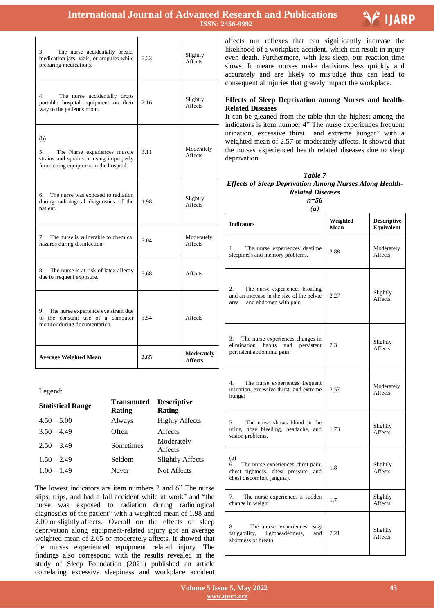# **International Journal of Advanced Research and Publications ISSN: 2456-9992**



| 3.<br>The nurse accidentally breaks<br>medication jars, vials, or ampules while<br>preparing medications.                     | 2.23 | Slightly<br><b>Affects</b>   |
|-------------------------------------------------------------------------------------------------------------------------------|------|------------------------------|
| 4<br>The nurse accidentally drops<br>portable hospital equipment on their<br>way to the patient's room.                       | 2.16 | Slightly<br><b>Affects</b>   |
| (b)<br>The Nurse experiences muscle<br>5.<br>strains and sprains in using improperly<br>functioning equipment in the hospital | 3.11 | Moderately<br>Affects        |
| The nurse was exposed to radiation<br>6.<br>during radiological diagnostics of the<br>patient.                                | 1.98 | Slightly<br>Affects          |
| The nurse is vulnerable to chemical<br>7.<br>hazards during disinfection.                                                     | 3.04 | Moderately<br><b>Affects</b> |
| 8.<br>The nurse is at risk of latex allergy<br>due to frequent exposure.                                                      | 3.68 | <b>Affects</b>               |
| 9.<br>The nurse experience eye strain due<br>to the constant use of a computer<br>monitor during documentation.               | 3.54 | Affects                      |
| <b>Average Weighted Mean</b>                                                                                                  | 2.65 | Moderately<br><b>Affects</b> |

Legend:

| <b>Statistical Range</b> | <b>Transmuted</b><br><b>Rating</b> | <b>Descriptive</b><br>Rating |
|--------------------------|------------------------------------|------------------------------|
| $4.50 - 5.00$            | Always                             | <b>Highly Affects</b>        |
| $3.50 - 4.49$            | Often                              | Affects                      |
| $2.50 - 3.49$            | Sometimes                          | Moderately<br>Affects        |
| $1.50 - 2.49$            | Seldom                             | <b>Slightly Affects</b>      |
| $1.00 - 1.49$            | Never                              | Not Affects                  |

The lowest indicators are item numbers 2 and 6" The nurse slips, trips, and had a fall accident while at work" and "the nurse was exposed to radiation during radiological diagnostics of the patient" with a weighted mean of 1.98 and 2.00 or slightly affects. Overall on the effects of sleep deprivation along equipment-related injury got an average weighted mean of 2.65 or moderately affects. It showed that the nurses experienced equipment related injury. The findings also correspond with the results revealed in the study of Sleep Foundation (2021) published an article correlating excessive sleepiness and workplace accident

 affects our reflexes that can significantly increase the likelihood of a workplace accident, which can result in injury even death. Furthermore, with less sleep, our reaction time slows. It means nurses make decisions less quickly and accurately and are likely to misjudge thus can lead to consequential injuries that gravely impact the workplace.

#### **Effects of Sleep Deprivation among Nurses and health-Related Diseases**

It can be gleaned from the table that the highest among the indicators is item number 4" The nurse experiences frequent urination, excessive thirst and extreme hunger" with a weighted mean of 2.57 or moderately affects. It showed that the nurses experienced health related diseases due to sleep deprivation.

| Table 7                                                        |
|----------------------------------------------------------------|
| <b>Effects of Sleep Deprivation Among Nurses Along Health-</b> |
| <b>Related Diseases</b>                                        |
| $n = 56$                                                       |

*(a)*

**Indicators Weighted Mean Descriptive Equivalent** 1. The nurse experiences daytime 1. The nurse experiences daytime 2.88 Moderately sleepiness and memory problems. Affects 2. The nurse experiences bloating and an increase in the size of the pelvic area and abdomen with pain 2.27 Slightly **Affects** 3. The nurse experiences changes in elimination habits and persistent persistent abdominal pain 2.3 Slightly **Affects** 4. The nurse experiences frequent urination, excessive thirst and extreme hunger 2.57 Moderately Affects 5. The nurse shows blood in the urine, nose bleeding, headache, and vision problems. 1.73 Slightly Affects (b) 6. The nurse experiences chest pain, chest tightness, chest pressure, and chest discomfort (angina). 1.8 Slightly **Affects** 7. The nurse experiences a sudden 1.7 Slightly change in weight Affects 8. The nurse experiences easy fatigability, lightheadedness, and shortness of breath 2.21 Slightly **Affects**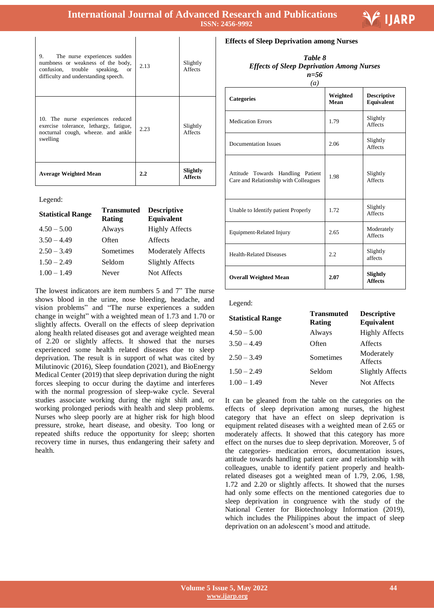$\overline{\phantom{a}}$ 

| The nurse experiences sudden<br>9.<br>numbness or weakness of the body,<br>confusion, trouble speaking,<br><sub>or</sub><br>difficulty and understanding speech. | 2.13 | Slightly<br>Affects        |
|------------------------------------------------------------------------------------------------------------------------------------------------------------------|------|----------------------------|
| 10. The nurse experiences reduced<br>exercise tolerance, lethargy, fatigue,<br>nocturnal cough, wheeze, and ankle<br>swelling                                    | 2.23 | Slightly<br>Affects        |
| <b>Average Weighted Mean</b>                                                                                                                                     | 2.2  | Slightly<br><b>Affects</b> |

 $\overline{1}$ 

Legend:

| <b>Statistical Range</b> | <b>Transmuted</b><br>Rating | <b>Descriptive</b><br>Equivalent |
|--------------------------|-----------------------------|----------------------------------|
| $4.50 - 5.00$            | Always                      | <b>Highly Affects</b>            |
| $3.50 - 4.49$            | Often                       | Affects                          |
| $2.50 - 3.49$            | Sometimes                   | <b>Moderately Affects</b>        |
| $1.50 - 2.49$            | Seldom                      | <b>Slightly Affects</b>          |
| $1.00 - 1.49$            | Never                       | Not Affects                      |
|                          |                             |                                  |

The lowest indicators are item numbers 5 and 7" The nurse shows blood in the urine, nose bleeding, headache, and vision problems" and "The nurse experiences a sudden change in weight" with a weighted mean of 1.73 and 1.70 or slightly affects. Overall on the effects of sleep deprivation along health related diseases got and average weighted mean of 2.20 or slightly affects. It showed that the nurses experienced some health related diseases due to sleep deprivation. The result is in support of what was cited by Milutinovic (2016), Sleep foundation (2021), and BioEnergy Medical Center (2019) that sleep deprivation during the night forces sleeping to occur during the daytime and interferes with the normal progression of sleep-wake cycle. Several studies associate working during the night shift and, or working prolonged periods with health and sleep problems. Nurses who sleep poorly are at higher risk for high blood pressure, stroke, heart disease, and obesity. Too long or repeated shifts reduce the opportunity for sleep; shorten recovery time in nurses, thus endangering their safety and health.

**Effects of Sleep Deprivation among Nurses**

| Table 8                                          |  |
|--------------------------------------------------|--|
| <b>Effects of Sleep Deprivation Among Nurses</b> |  |
| $n = 56$                                         |  |
|                                                  |  |

Ξ

V IJARP

| $\left(a\right)$                                                           |                  |                                  |  |
|----------------------------------------------------------------------------|------------------|----------------------------------|--|
| <b>Categories</b>                                                          | Weighted<br>Mean | <b>Descriptive</b><br>Equivalent |  |
| <b>Medication Errors</b>                                                   | 1.79             | Slightly<br>Affects              |  |
| <b>Documentation Issues</b>                                                | 2.06             | Slightly<br>Affects              |  |
| Attitude Towards Handling Patient<br>Care and Relationship with Colleagues | 1.98             | Slightly<br><b>Affects</b>       |  |
| Unable to Identify patient Properly                                        | 1.72             | Slightly<br><b>Affects</b>       |  |
| Equipment-Related Injury                                                   | 2.65             | Moderately<br><b>Affects</b>     |  |
| <b>Health-Related Diseases</b>                                             | 2.2              | Slightly<br>affects              |  |
| <b>Overall Weighted Mean</b>                                               | 2.07             | Slightly<br><b>Affects</b>       |  |

Legend:

| <b>Statistical Range</b> | Transmuted<br>Rating | <b>Descriptive</b><br>Equivalent |
|--------------------------|----------------------|----------------------------------|
| $4.50 - 5.00$            | Always               | <b>Highly Affects</b>            |
| $3.50 - 4.49$            | Often                | Affects                          |
| $2.50 - 3.49$            | Sometimes            | Moderately<br>Affects            |
| $1.50 - 2.49$            | Seldom               | <b>Slightly Affects</b>          |
| $1.00 - 1.49$            | Never                | Not Affects                      |

It can be gleaned from the table on the categories on the effects of sleep deprivation among nurses, the highest category that have an effect on sleep deprivation is equipment related diseases with a weighted mean of 2.65 or moderately affects. It showed that this category has more effect on the nurses due to sleep deprivation. Moreover, 5 of the categories- medication errors, documentation issues, attitude towards handling patient care and relationship with colleagues, unable to identify patient properly and healthrelated diseases got a weighted mean of 1.79, 2.06, 1.98, 1.72 and 2.20 or slightly affects. It showed that the nurses had only some effects on the mentioned categories due to sleep deprivation in congruence with the study of the National Center for Biotechnology Information (2019), which includes the Philippines about the impact of sleep deprivation on an adolescent's mood and attitude.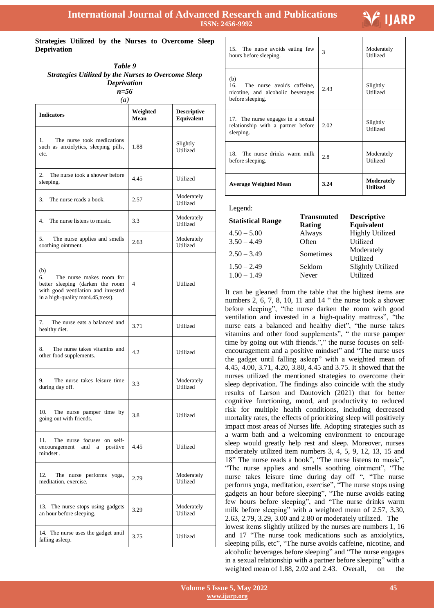$\mathbf{I}$ 

# F IJARP

#### **Strategies Utilized by the Nurses to Overcome Sleep Deprivation**

| Table 9<br><b>Strategies Utilized by the Nurses to Overcome Sleep</b><br><b>Deprivation</b><br>$n=56$<br>$\left(a\right)$ |                  |                                  |
|---------------------------------------------------------------------------------------------------------------------------|------------------|----------------------------------|
| <b>Indicators</b>                                                                                                         | Weighted<br>Mean | <b>Descriptive</b><br>Equivalent |

| Indicators                                                                                                                                            | Mean | <b>Equivalent</b>      |
|-------------------------------------------------------------------------------------------------------------------------------------------------------|------|------------------------|
| The nurse took medications<br>1.<br>such as anxiolytics, sleeping pills,<br>etc.                                                                      | 1.88 | Slightly<br>Utilized   |
| The nurse took a shower before<br>2.<br>sleeping.                                                                                                     | 4.45 | Utilized               |
| 3.<br>The nurse reads a book.                                                                                                                         | 2.57 | Moderately<br>Utilized |
| 4.<br>The nurse listens to music.                                                                                                                     | 3.3  | Moderately<br>Utilized |
| 5.<br>The nurse applies and smells<br>soothing ointment.                                                                                              | 2.63 | Moderately<br>Utilized |
| (b)<br>The nurse makes room for<br>б.<br>better sleeping (darken the room<br>with good ventilation and invested<br>in a high-quality mat4.45, tress). | 4    | Utilized               |
| The nurse eats a balanced and<br>7.<br>healthy diet.                                                                                                  | 3.71 | Utilized               |
| The nurse takes vitamins and<br>8.<br>other food supplements.                                                                                         | 4.2  | Utilized               |
| The nurse takes leisure time<br>9.<br>during day off.                                                                                                 | 3.3  | Moderately<br>Utilized |
| 10.<br>The nurse pamper time by<br>going out with friends.                                                                                            | 3.8  | Utilized               |
| The nurse focuses on self-<br>11.<br>encouragement and a positive<br>mindset.                                                                         | 4.45 | Utilized               |
| The nurse performs yoga,<br>12.<br>meditation, exercise.                                                                                              | 2.79 | Moderately<br>Utilized |
| 13. The nurse stops using gadgets<br>an hour before sleeping.                                                                                         | 3.29 | Moderately<br>Utilized |
| 14. The nurse uses the gadget until<br>falling asleep.                                                                                                | 3.75 | Utilized               |

| 15. The nurse avoids eating few<br>hours before sleeping.                                         | 3    | Moderately<br>Utilized |
|---------------------------------------------------------------------------------------------------|------|------------------------|
| (b)<br>16.<br>The nurse avoids caffeine,<br>nicotine, and alcoholic beverages<br>before sleeping. | 2.43 | Slightly<br>Utilized   |
| 17. The nurse engages in a sexual<br>relationship with a partner before<br>sleeping.              | 2.02 | Slightly<br>Utilized   |
| 18. The nurse drinks warm milk<br>before sleeping.                                                | 2.8  | Moderately<br>Utilized |
| <b>Average Weighted Mean</b>                                                                      | 3.24 | Moderately<br>Utilized |

Legend:

| <b>Statistical Range</b>       | <b>Transmuted</b><br>Rating | <b>Descriptive</b><br>Equivalent     |
|--------------------------------|-----------------------------|--------------------------------------|
| $4.50 - 5.00$                  | Always                      | <b>Highly Utilized</b>               |
| $3.50 - 4.49$                  | Often                       | Utilized                             |
| $2.50 - 3.49$                  | Sometimes                   | Moderately<br>Utilized               |
| $1.50 - 2.49$<br>$1.00 - 1.49$ | Seldom<br>Never             | <b>Slightly Utilized</b><br>Utilized |

It can be gleaned from the table that the highest items are numbers 2, 6, 7, 8, 10, 11 and 14 " the nurse took a shower before sleeping", "the nurse darken the room with good ventilation and invested in a high-quality mattress", "the nurse eats a balanced and healthy diet", "the nurse takes vitamins and other food supplements", " the nurse pamper time by going out with friends."," the nurse focuses on selfencouragement and a positive mindset" and "The nurse uses the gadget until falling asleep" with a weighted mean of 4.45, 4.00, 3.71, 4.20, 3.80, 4.45 and 3.75. It showed that the nurses utilized the mentioned strategies to overcome their sleep deprivation. The findings also coincide with the study results of Larson and Dautovich (2021) that for better cognitive functioning, mood, and productivity to reduced risk for multiple health conditions, including decreased mortality rates, the effects of prioritizing sleep will positively impact most areas of Nurses life. Adopting strategies such as a warm bath and a welcoming environment to encourage sleep would greatly help rest and sleep. Moreover, nurses moderately utilized item numbers 3, 4, 5, 9, 12, 13, 15 and 18" The nurse reads a book", "The nurse listens to music", "The nurse applies and smells soothing ointment", "The nurse takes leisure time during day off ", "The nurse performs yoga, meditation, exercise", "The nurse stops using gadgets an hour before sleeping", "The nurse avoids eating few hours before sleeping", and "The nurse drinks warm milk before sleeping" with a weighted mean of 2.57, 3.30, 2.63, 2.79, 3.29, 3.00 and 2.80 or moderately utilized. The lowest items slightly utilized by the nurses are numbers 1, 16 and 17 "The nurse took medications such as anxiolytics, sleeping pills, etc", "The nurse avoids caffeine, nicotine, and alcoholic beverages before sleeping" and "The nurse engages in a sexual relationship with a partner before sleeping" with a weighted mean of 1.88, 2.02 and 2.43. Overall, on the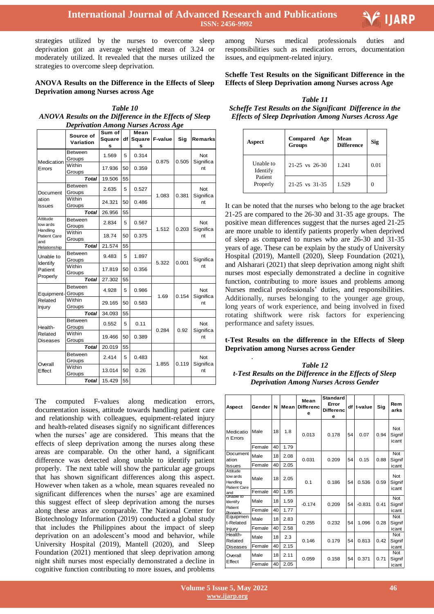strategies utilized by the nurses to overcome sleep deprivation got an average weighted mean of 3.24 or moderately utilized. It revealed that the nurses utilized the strategies to overcome sleep deprivation.

#### **ANOVA Results on the Difference in the Effects of Sleep Deprivation among Nurses across Age**

*Table 10 ANOVA Results on the Difference in the Effects of Sleep Deprivation Among Nurses Across Age*

|                                                         | Source of<br>Variation | Sum of<br>Square<br>s | df | Mean<br>Square<br>s | F-value | Sig   | Remarks                |  |
|---------------------------------------------------------|------------------------|-----------------------|----|---------------------|---------|-------|------------------------|--|
| Medication                                              | Between<br>Groups      | 1.569                 | 5  | 0.314               | 0.875   | 0.505 | Not<br>Significa       |  |
| Errors                                                  | Within<br>Groups       | 17.936                | 50 | 0.359               |         |       | nt                     |  |
|                                                         | <b>Total</b>           | 19.506                | 55 |                     |         |       |                        |  |
| Document                                                | Between<br>Groups      | 2.635                 | 5  | 0.527               | 1.083   | 0.381 | Not<br>Significa       |  |
| ation<br><b>Issues</b>                                  | Within<br>Groups       | 24.321                | 50 | 0.486               |         |       | nt                     |  |
|                                                         | <b>Total</b>           | 26.956                | 55 |                     |         |       |                        |  |
| Attitude<br>tow ards<br>Handling<br>Patient Care<br>and | Between<br>Groups      | 2.834                 | 5  | 0.567               | 1.512   | 0.203 | Not<br>Significa<br>nt |  |
|                                                         | Within<br>Groups       | 18.74                 | 50 | 0.375               |         |       |                        |  |
| Relationship                                            | <b>Total</b>           | 21.574                | 55 |                     |         |       |                        |  |
| Unable to<br>Identify                                   | Between<br>Groups      | 9.483                 | 5  | 1.897               | 5.322   | 0.001 | Significa              |  |
| Patient<br>Properly                                     | Within<br>Groups       | 17.819                | 50 | 0.356               |         |       | nt                     |  |
|                                                         | <b>Total</b>           | 27.302                | 55 |                     |         |       |                        |  |
| Equipment-                                              | Between<br>Groups      | 4.928                 | 5  | 0.986               | 1.69    | 0.154 | Not<br>Significa       |  |
| Related<br>Injury                                       | Within<br>Groups       | 29.165                | 50 | 0.583               |         |       | nt                     |  |
|                                                         | <b>Total</b>           | 34.093                | 55 |                     |         |       |                        |  |
| Health-                                                 | Between<br>Groups      | 0.552                 | 5  | 0.11                | 0.284   | 0.92  | Not<br>Significa       |  |
| Related<br>Diseases                                     | Within<br>Groups       | 19.466                | 50 | 0.389               |         |       | nt                     |  |
|                                                         | <b>Total</b>           | 20.019                | 55 |                     |         |       |                        |  |
| Overall                                                 | Between<br>Groups      | 2.414                 | 5  | 0.483               | 1.855   | 0.119 | Not<br>Significa       |  |
| Effect                                                  | Within<br>Groups       | 13.014                | 50 | 0.26                |         |       | nt                     |  |
|                                                         | <b>Total</b>           | 15.429                | 55 |                     |         |       |                        |  |

The computed F-values along medication errors, documentation issues, attitude towards handling patient care and relationship with colleagues, equipment-related injury and health-related diseases signify no significant differences when the nurses' age are considered. This means that the effects of sleep deprivation among the nurses along these areas are comparable. On the other hand, a significant difference was detected along unable to identify patient properly. The next table will show the particular age groups that has shown significant differences along this aspect. However when taken as a whole, mean squares revealed no significant differences when the nurses' age are examined this suggest effect of sleep deprivation among the nurses along these areas are comparable. The National Center for Biotechnology Information (2019) conducted a global study that includes the Philippines about the impact of sleep deprivation on an adolescent's mood and behavior, while University Hospital (2019), Mantell (2020), and Sleep Foundation (2021) mentioned that sleep deprivation among night shift nurses most especially demonstrated a decline in cognitive function contributing to more issues, and problems

Ξ among Nurses medical professionals duties and responsibilities such as medication errors, documentation issues, and equipment-related injury.

**Scheffe Test Results on the Significant Difference in the Effects of Sleep Deprivation among Nurses across Age**

*Table 11 Scheffe Test Results on the Significant Difference in the Effects of Sleep Deprivation Among Nurses Across Age*

| Aspect                | <b>Compared</b> Age<br><b>Groups</b> | Mean<br><b>Difference</b> | Sig  |
|-----------------------|--------------------------------------|---------------------------|------|
| Unable to<br>Identify | $21-25$ vs $26-30$                   | 1.241                     | 0.01 |
| Patient<br>Properly   | 21-25 vs 31-35                       | 1.529                     |      |

It can be noted that the nurses who belong to the age bracket 21-25 are compared to the 26-30 and 31-35 age groups. The positive mean differences suggest that the nurses aged 21-25 are more unable to identify patients properly when deprived of sleep as compared to nurses who are 26-30 and 31-35 years of age. These can be explain by the study of University Hospital (2019), Mantell (2020), Sleep Foundation (2021), and Alsharari (2021) that sleep deprivation among night shift nurses most especially demonstrated a decline in cognitive function, contributing to more issues and problems among Nurses medical professionals' duties, and responsibilities. Additionally, nurses belonging to the younger age group, long years of work experience, and being involved in fixed rotating shiftwork were risk factors for experiencing performance and safety issues.

#### **t-Test Results on the difference in the Effects of Sleep Deprivation among Nurses across Gender**

.

*Table 12 t-Test Results on the Difference in the Effects of Sleep Deprivation Among Nurses Across Gender*

| Aspect                                           | Gender | N  | Mean | Mean<br><b>Differenc</b><br>e | <b>Standard</b><br>Error<br><b>Differenc</b><br>е | df | t-value  | Sig  | Rem<br>arks            |
|--------------------------------------------------|--------|----|------|-------------------------------|---------------------------------------------------|----|----------|------|------------------------|
| Medicatio<br>n Errors                            | Male   | 18 | 1.8  | 0.013                         | 0.178                                             | 54 | 0.07     | 0.94 | Not<br>Signif<br>icant |
|                                                  | Female | 40 | 1.79 |                               |                                                   |    |          |      |                        |
| Document<br>ation                                | Male   | 18 | 2.08 | 0.031                         | 0.209                                             | 54 | 0.15     | 0.88 | Not<br>Signif          |
| <b>Issues</b>                                    | Female | 40 | 2.05 |                               |                                                   |    |          |      | icant                  |
| Attitude<br>tow ards<br>Handling<br>Patient Care | Male   | 18 | 2.05 | 0.1                           | 0.186                                             | 54 | 0.536    | 0.59 | Not<br>Signif<br>icant |
| and                                              | Female | 40 | 1.95 |                               |                                                   |    |          |      |                        |
| Unable to<br><b>Identif</b> v                    | Male   | 18 | 1.59 | $-0.174$                      | 0.209                                             | 54 | $-0.831$ | 0.41 | Not<br>Signif          |
| Patient<br>Properly                              | Female | 40 | 1.77 |                               |                                                   |    |          |      | icant                  |
| Equipmen<br>t-Related                            | Male   | 18 | 2.83 | 0.255                         | 0.232                                             | 54 | 1.096    | 0.28 | Not<br>Signif          |
| Injury                                           | Female | 40 | 2.58 |                               |                                                   |    |          |      | icant                  |
| Health-<br>Related                               | Male   | 18 | 2.3  | 0.146                         | 0.179                                             | 54 | 0.813    | 0.42 | Not<br>Signif          |
| Diseases                                         | Female | 40 | 2.15 |                               |                                                   |    |          |      | icant                  |
| Overall                                          | Male   | 18 | 2.11 | 0.059                         | 0.158                                             | 54 | 0.371    | 0.71 | Not<br>Signif          |
| Effect                                           | Female | 40 | 2.05 |                               |                                                   |    |          |      | icant                  |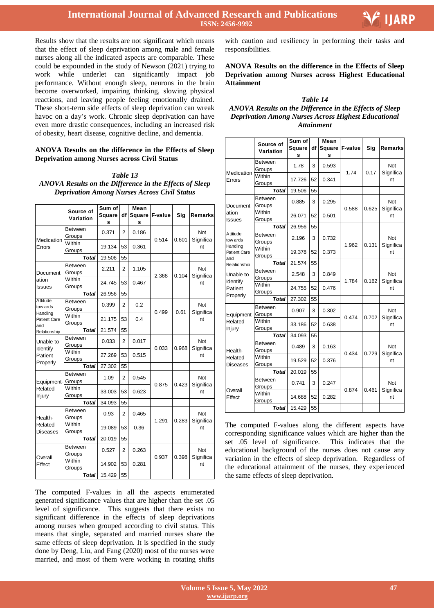

Results show that the results are not significant which means that the effect of sleep deprivation among male and female nurses along all the indicated aspects are comparable. These could be expounded in the study of Newson (2021) trying to work while underlet can significantly impact job performance. Without enough sleep, neurons in the brain become overworked, impairing thinking, slowing physical reactions, and leaving people feeling emotionally drained. These short-term side effects of sleep deprivation can wreak havoc on a day's work. Chronic sleep deprivation can have even more drastic consequences, including an increased risk of obesity, heart disease, cognitive decline, and dementia.

#### **ANOVA Results on the difference in the Effects of Sleep Deprivation among Nurses across Civil Status**

*Table 13 ANOVA Results on the Difference in the Effects of Sleep Deprivation Among Nurses Across Civil Status*

|                                                                | Source of         | Sum of      |                | Mean               |         |       |                         |  |
|----------------------------------------------------------------|-------------------|-------------|----------------|--------------------|---------|-------|-------------------------|--|
|                                                                | Variation         | Square<br>s | df             | <b>Square</b><br>s | F-value | Sig   | Remarks                 |  |
| Medication                                                     | Between<br>Groups | 0.371       | 2              | 0.186              | 0.514   | 0.601 | <b>Not</b><br>Significa |  |
| Errors                                                         | Within<br>Groups  | 19.134      | 53             | 0.361              |         |       | nt                      |  |
|                                                                | <b>Total</b>      | 19.506      | 55             |                    |         |       |                         |  |
| Document                                                       | Between<br>Groups | 2.211       | 2              | 1.105              | 2.368   | 0.104 | Not<br>Significa        |  |
| ation<br><b>Issues</b>                                         | Within<br>Groups  | 24.745      | 53             | 0.467              |         |       | nt                      |  |
|                                                                | <b>Total</b>      | 26.956      | 55             |                    |         |       |                         |  |
| Attitude<br>tow ards<br>Handling<br><b>Patient Care</b><br>and | Between<br>Groups | 0.399       | $\overline{2}$ | 0.2                | 0.499   | 0.61  | <b>Not</b><br>Significa |  |
|                                                                | Within<br>Groups  | 21.175      | 53             | 0.4                |         |       | nt                      |  |
| Relationship                                                   | <b>Total</b>      | 21.574      | 55             |                    |         |       |                         |  |
| Unable to                                                      | Between<br>Groups | 0.033       | $\overline{2}$ | 0.017              | 0.033   | 0.968 | Not<br>Significa        |  |
| Identify<br>Patient<br>Properly                                | Within<br>Groups  | 27.269      | 53             | 0.515              |         |       | nt                      |  |
|                                                                | <b>Total</b>      | 27.302      | 55             |                    |         |       |                         |  |
| Equipment-                                                     | Between<br>Groups | 1.09        | 2              | 0.545              | 0.875   | 0.423 | Not<br>Significa        |  |
| Related<br>Injury                                              | Within<br>Groups  | 33.003      | 53             | 0.623              |         |       | nt                      |  |
|                                                                | <b>Total</b>      | 34.093      | 55             |                    |         |       |                         |  |
| Health-                                                        | Between<br>Groups | 0.93        | 2              | 0.465              | 1.291   | 0.283 | Not<br>Significa        |  |
| Related<br>Diseases                                            | Within<br>Groups  | 19.089      | 53             | 0.36               |         |       | nt                      |  |
|                                                                | <b>Total</b>      | 20.019      | 55             |                    |         |       |                         |  |
| Overall                                                        | Between<br>Groups | 0.527       | 2              | 0.263              | 0.937   | 0.398 | Not<br>Significa        |  |
| Effect                                                         | Within<br>Groups  | 14.902      | 53             | 0.281              |         |       | nt                      |  |
|                                                                | <b>Total</b>      | 15.429      | 55             |                    |         |       |                         |  |

The computed F-values in all the aspects enumerated generated significance values that are higher than the set .05 level of significance. This suggests that there exists no significant difference in the effects of sleep deprivations among nurses when grouped according to civil status. This means that single, separated and married nurses share the same effects of sleep deprivation. It is specified in the study done by Deng, Liu, and Fang (2020) most of the nurses were married, and most of them were working in rotating shifts

with caution and resiliency in performing their tasks and responsibilities.

**ANOVA Results on the difference in the Effects of Sleep Deprivation among Nurses across Highest Educational Attainment**

#### *Table 14 ANOVA Results on the Difference in the Effects of Sleep Deprivation Among Nurses Across Highest Educational Attainment*

|                                                                | Source of<br>Variation   | Sum of<br>Square<br>s | df | Mean<br>Square<br>s | F-value | Sig   | Remarks                 |  |
|----------------------------------------------------------------|--------------------------|-----------------------|----|---------------------|---------|-------|-------------------------|--|
| Medication                                                     | Between<br>Groups        | 1.78                  | 3  | 0.593               | 1.74    | 0.17  | Not<br>Significa        |  |
| Errors                                                         | Within<br>Groups         | 17.726                | 52 | 0.341               |         |       | nt                      |  |
|                                                                | <b>Total</b>             | 19.506                | 55 |                     |         |       |                         |  |
| Document                                                       | Between<br>Groups        | 0.885                 | 3  | 0.295               | 0.588   | 0.625 | Not<br>Significa        |  |
| ation<br><b>Issues</b>                                         | Within<br>Groups         | 26.071                | 52 | 0.501               |         |       | nt                      |  |
|                                                                | <b>Total</b>             | 26.956                | 55 |                     |         |       |                         |  |
| Attitude<br>tow ards<br>Handling<br><b>Patient Care</b><br>and | Between<br>Groups        | 2.196                 | 3  | 0.732               | 1.962   | 0.131 | <b>Not</b><br>Significa |  |
|                                                                | Within<br>Groups         | 19.378                | 52 | 0.373               |         |       | nt                      |  |
| Relationship                                                   | <b>Total</b>             | 21.574                | 55 |                     |         |       |                         |  |
| Unable to                                                      | Between<br>Groups        | 2.548                 | 3  | 0.849               | 1.784   | 0.162 | Not<br>Significa        |  |
| Identify<br>Patient<br>Properly                                | Within<br>Groups         | 24.755                | 52 | 0.476               |         |       | nt                      |  |
|                                                                | <b>Total</b>             | 27.302                | 55 |                     |         |       |                         |  |
| Equipment-                                                     | <b>Between</b><br>Groups | 0.907                 | 3  | 0.302               | 0.474   | 0.702 | Not<br>Significa        |  |
| Related<br>Injury                                              | Within<br>Groups         | 33.186                | 52 | 0.638               |         |       | nt                      |  |
|                                                                | Total                    | 34.093                | 55 |                     |         |       |                         |  |
| Health-                                                        | Between<br>Groups        | 0.489                 | 3  | 0.163               | 0.434   | 0.729 | Not<br>Significa        |  |
| Related<br>Diseases                                            | Within<br>Groups         | 19.529                | 52 | 0.376               |         |       | nt                      |  |
|                                                                | <b>Total</b>             | 20.019                | 55 |                     |         |       |                         |  |
| Overall                                                        | Between<br>Groups        | 0.741                 | 3  | 0.247               | 0.874   | 0.461 | Not<br>Significa        |  |
| Effect                                                         | Within<br>Groups         | 14.688                | 52 | 0.282               |         |       | nt                      |  |
|                                                                | Total                    | 15.429                | 55 |                     |         |       |                         |  |

The computed F-values along the different aspects have corresponding significance values which are higher than the set .05 level of significance. This indicates that the educational background of the nurses does not cause any variation in the effects of sleep deprivation. Regardless of the educational attainment of the nurses, they experienced the same effects of sleep deprivation.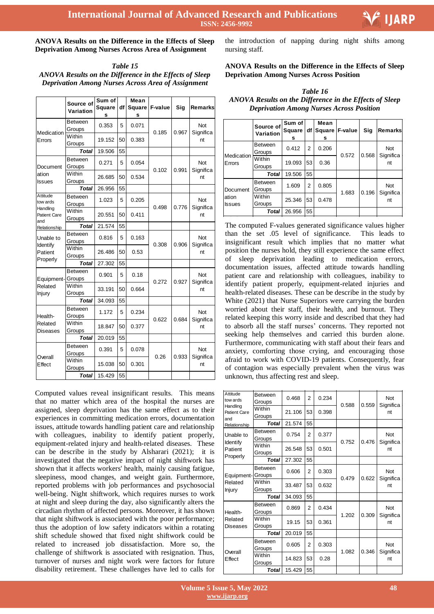**ANOVA Results on the Difference in the Effects of Sleep Deprivation Among Nurses Across Area of Assignment**

*Table 15 ANOVA Results on the Difference in the Effects of Sleep Deprivation Among Nurses Across Area of Assignment*

|                                                                | Source of<br>Variation   | Sum of<br><b>Square</b><br>s | df | Mean<br><b>Square</b><br>s | F-value | Sig   | Remarks                 |  |
|----------------------------------------------------------------|--------------------------|------------------------------|----|----------------------------|---------|-------|-------------------------|--|
| Medication                                                     | Between<br>Groups        | 0.353                        | 5  | 0.071                      | 0.185   | 0.967 | Not<br>Significa        |  |
| Errors                                                         | Within<br>Groups         | 19.152                       | 50 | 0.383                      |         |       | nt                      |  |
|                                                                | <b>Total</b>             | 19.506                       | 55 |                            |         |       |                         |  |
| Document                                                       | <b>Between</b><br>Groups | 0.271                        | 5  | 0.054                      | 0.102   | 0.991 | Not<br>Significa        |  |
| ation<br>Issues                                                | Within<br>Groups         | 26.685                       | 50 | 0.534                      |         |       | nt                      |  |
|                                                                | <b>Total</b>             | 26.956                       | 55 |                            |         |       |                         |  |
| Attitude<br>tow ards<br>Handling<br><b>Patient Care</b><br>and | <b>Between</b><br>Groups | 1.023                        | 5  | 0.205                      | 0.498   | 0.776 | Not<br>Significa        |  |
|                                                                | Within<br>Groups         | 20.551                       | 50 | 0.411                      |         |       | nt                      |  |
| Relationship                                                   | <b>Total</b>             | 21.574                       | 55 |                            |         |       |                         |  |
| Unable to<br><b>Identify</b>                                   | <b>Between</b><br>Groups | 0.816                        | 5  | 0.163                      | 0.308   | 0.906 | Not<br>Significa        |  |
| Patient<br>Properly                                            | Within<br>Groups         | 26.486                       | 50 | 0.53                       |         |       | nt                      |  |
|                                                                | <b>Total</b>             | 27.302                       | 55 |                            |         |       |                         |  |
| Equipment-                                                     | Between<br>Groups        | 0.901                        | 5  | 0.18                       | 0.272   | 0.927 | Not<br>Significa        |  |
| Related<br>Injury                                              | Within<br>Groups         | 33.191                       | 50 | 0.664                      |         |       | nt                      |  |
|                                                                | <b>Total</b>             | 34.093                       | 55 |                            |         |       |                         |  |
| Health-                                                        | <b>Between</b><br>Groups | 1.172                        | 5  | 0.234                      | 0.622   | 0.684 | Not<br>Significa        |  |
| Related<br>Diseases                                            | Within<br>Groups         | 18.847                       | 50 | 0.377                      |         |       | nt                      |  |
|                                                                | <b>Total</b>             | 20.019                       | 55 |                            |         |       |                         |  |
| Overall                                                        | <b>Between</b><br>Groups | 0.391                        | 5  | 0.078                      | 0.26    | 0.933 | <b>Not</b><br>Significa |  |
| Effect                                                         | Within<br>Groups         | 15.038                       | 50 | 0.301                      |         |       | nt                      |  |
|                                                                | Total                    | 15.429                       | 55 |                            |         |       |                         |  |

Computed values reveal insignificant results. This means that no matter which area of the hospital the nurses are assigned, sleep deprivation has the same effect as to their experiences in committing medication errors, documentation issues, attitude towards handling patient care and relationship with colleagues, inability to identify patient properly, equipment-related injury and health-related diseases. These can be describe in the study by Alsharari (2021); it is investigated that the negative impact of night shiftwork has shown that it affects workers' health, mainly causing fatigue, sleepiness, mood changes, and weight gain. Furthermore, reported problems with job performances and psychosocial well-being. Night shiftwork, which requires nurses to work at night and sleep during the day, also significantly alters the circadian rhythm of affected persons. Moreover, it has shown that night shiftwork is associated with the poor performance; thus the adoption of low safety indicators within a rotating shift schedule showed that fixed night shiftwork could be related to increased job dissatisfaction. More so, the challenge of shiftwork is associated with resignation. Thus, turnover of nurses and night work were factors for future disability retirement. These challenges have led to calls for

 the introduction of napping during night shifts among nursing staff.

#### **ANOVA Results on the Difference in the Effects of Sleep Deprivation Among Nurses Across Position**

*Table 16 ANOVA Results on the Difference in the Effects of Sleep Deprivation Among Nurses Across Position*

|                                    | Source of<br>Variation   | Sum of<br><b>Square</b><br>s | df             | Mean<br><b>Square</b><br>s | <b>F-value</b> | Sig   | <b>Remarks</b>                |
|------------------------------------|--------------------------|------------------------------|----------------|----------------------------|----------------|-------|-------------------------------|
| Medication<br>Errors               | <b>Between</b><br>Groups | 0.412                        | $\mathcal{P}$  | 0.206                      | 0.572          | 0.568 | <b>Not</b><br>Significa<br>nt |
|                                    | Within<br>Groups         | 19.093                       | 53             | 0.36                       |                |       |                               |
|                                    | <b>Total</b>             | 19.506                       | 55             |                            |                |       |                               |
| Document<br>ation<br><b>Issues</b> | <b>Between</b><br>Groups | 1.609                        | $\overline{2}$ | 0.805                      | 1.683          | 0.196 | <b>Not</b>                    |
|                                    | Within<br>Groups         | 25.346                       | 53             | 0.478                      |                |       | Significa<br>nt               |
|                                    | Total                    | 26.956                       | 55             |                            |                |       |                               |

White (2021) that Nurse Superiors were carrying the burden Write (2021) that indice Superiors were earlying the cardial worried about their staff, their health, and burnout. They world about their start, their health, and burnout. They related keeping this worry inside and described that they had to absorb all the staff nurses' concerns. They reported not seeking help themselves and carried this burden alone. Furthermore, communicating with staff about their fears anxiety, comforting those crying, and encouraging those afraid to work with COVID-19 patients. Consequently, fear unknown, thus affecting rest and slee of contagion was especially prevalent when the virus was unknown, thus affecting rest and sleep. Total 26.956 [55]<br>The computed F-values generated significance values higher than the set. insignificant result which implies that no matter what position the nurses hold, they still experience the same effect of sleep deprivation leading to medication errors, patient care and relationship with colleagues, inability to identify patient properly, equipment-related injuries and health-related diseases. These can be describe in the study by  $\mathfrak{m}, \mathfrak{c}$ worried about their staff, their health, and burnout. They  $H_{\text{total}}$ Furthermore, communicating with staff about their fears and Patient Care moduce various myn nt than the set .05 level of significance. This leads to documentation issues, affected attitude towards handling

| Attitude<br>tow ards             | <b>Between</b><br>Groups | 0.468  | $\overline{2}$ | 0.234 | 0.588 | 0.559 | <b>Not</b><br>Significa |
|----------------------------------|--------------------------|--------|----------------|-------|-------|-------|-------------------------|
| Handling<br>Patient Care<br>and  | Within<br>Groups         | 21.106 | 53             | 0.398 |       |       | nt                      |
| Relationship                     | Total                    | 21.574 | 55             |       |       |       |                         |
| Unable to<br>Identify<br>Patient | <b>Between</b><br>Groups | 0.754  | $\overline{2}$ | 0.377 | 0.752 | 0.476 | <b>Not</b>              |
|                                  | Within<br>Groups         | 26.548 | 53             | 0.501 |       |       | Significa<br>nt         |
| Properly                         | Total                    | 27.302 | 55             |       |       |       |                         |
| Equipment-                       | <b>Between</b><br>Groups | 0.606  | $\overline{2}$ | 0.303 | 0.479 | 0.622 | Not                     |
| Related<br>Injury                | Within<br>Groups         | 33.487 | 53             | 0.632 |       |       | Significa<br>nt         |
|                                  | Total                    | 34.093 | 55             |       |       |       |                         |
| Health-                          | <b>Between</b><br>Groups | 0.869  | $\overline{2}$ | 0.434 | 1.202 | 0.309 | Not<br>Significa        |
| Related<br>Diseases              | Within<br>Groups         | 19.15  | 53             | 0.361 |       |       | nt                      |
|                                  | Total                    | 20.019 | 55             |       |       |       |                         |
|                                  | <b>Between</b><br>Groups | 0.605  | $\overline{2}$ | 0.303 | 1.082 | 0.346 | <b>Not</b><br>Significa |
| Overall<br>Effect                | Within<br>Groups         | 14.823 | 53             | 0.28  |       |       | nt                      |
|                                  | Total                    | 15.429 | 55             |       |       |       |                         |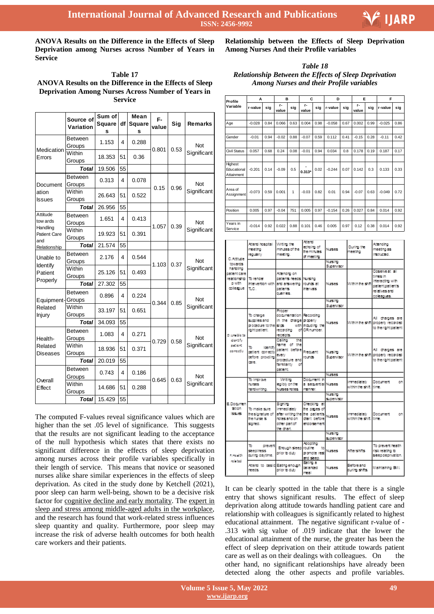

**ANOVA Results on the Difference in the Effects of Sleep Deprivation among Nurses across Number of Years in Service**

**Table 17 ANOVA Results on the Difference in the Effects of Sleep Deprivation Among Nurses Across Number of Years in Service**

|                                                                | Source of<br>Variation   | Sum of<br>Square<br>s | df | Mean<br><b>Square</b><br>s | F-<br>value | Sig  | <b>Remarks</b> |  |
|----------------------------------------------------------------|--------------------------|-----------------------|----|----------------------------|-------------|------|----------------|--|
| Medication                                                     | <b>Between</b><br>Groups | 1.153                 | 4  | 0.288                      | 0.801       | 0.53 | Not            |  |
| Errors                                                         | Within<br>Groups         | 18.353                | 51 | 0.36                       |             |      | Significant    |  |
|                                                                | <b>Total</b>             | 19.506                | 55 |                            |             |      |                |  |
| Document                                                       | <b>Between</b><br>Groups | 0.313                 | 4  | 0.078                      | 0.15        | 0.96 | Not            |  |
| ation<br><b>Issues</b>                                         | Within<br>Groups         | 26.643                | 51 | 0.522                      |             |      | Significant    |  |
|                                                                | Total                    | 26.956                | 55 |                            |             |      |                |  |
| Attitude<br>tow ards<br>Handling<br><b>Patient Care</b><br>and | <b>Between</b><br>Groups | 1.651                 | 4  | 0.413                      | 1.057       | 0.39 | Not            |  |
|                                                                | Within<br>Groups         | 19.923                | 51 | 0.391                      |             |      | Significant    |  |
| Relationship                                                   | <b>Total</b>             | 21.574                | 55 |                            |             |      |                |  |
| Unable to<br>Identify                                          | <b>Between</b><br>Groups | 2.176                 | 4  | 0.544                      | 1.103       | 0.37 | Not            |  |
| Patient<br>Properly                                            | Within<br>Groups         | 25.126                | 51 | 0.493                      |             |      | Significant    |  |
|                                                                | <b>Total</b>             | 27.302                | 55 |                            |             |      |                |  |
| Equipment-Groups                                               | <b>Between</b>           | 0.896                 | 4  | 0.224                      | 0.344       | 0.85 | Not            |  |
| Related<br><b>Injury</b>                                       | Within<br>Groups         | 33.197                | 51 | 0.651                      |             |      | Significant    |  |
|                                                                | <b>Total</b>             | 34.093                | 55 |                            |             |      |                |  |
| Health-                                                        | <b>Between</b><br>Groups | 1.083                 | 4  | 0.271                      | 0.729       | 0.58 | Not            |  |
| Related<br>Diseases                                            | Within<br>Groups         | 18.936                | 51 | 0.371                      |             |      | Significant    |  |
|                                                                | Total                    | 20.019                | 55 |                            |             |      |                |  |
| Overall                                                        | <b>Between</b><br>Groups | 0.743                 | 4  | 0.186                      | 0.645       | 0.63 | Not            |  |
| Effect                                                         | Within<br>Groups         | 14.686                | 51 | 0.288                      |             |      | Significant    |  |
|                                                                | <b>Total</b>             | 15.429                | 55 |                            |             |      |                |  |

The computed F-values reveal significance values which are higher than the set .05 level of significance. This suggests that the results are not significant leading to the acceptance of the null hypothesis which states that there exists no significant difference in the effects of sleep deprivation among nurses across their profile variables specifically in their length of service. This means that novice or seasoned nurses alike share similar experiences in the effects of sleep deprivation. As cited in the study done by Ketchell (2021), poor sleep can harm well-being, shown to be a decisive risk factor for cognitive decline and early [mortality.](https://doi.org/10.1161/HYPERTENSIONAHA.112.193268) The [expert](https://www.cbcs.usf.edu/agingstudies/slee) in sleep and stress among [middle-aged](https://www.cbcs.usf.edu/agingstudies/slee) adults in the workplace, and the research has found that work-related stress influences sleep quantity and quality. Furthermore, poor sleep may increase the risk of adverse health outcomes for both health care workers and their patients.

 **Relationship between the Effects of Sleep Deprivation Among Nurses And their Profile variables**

*Table 18 Relationship Between the Effects of Sleep Deprivation Among Nurses and their Profile variables*

| Profile                              | A        |      |                | в    |             | C    | D        |      | Е           |      | F        |      |
|--------------------------------------|----------|------|----------------|------|-------------|------|----------|------|-------------|------|----------|------|
| Variable                             | r-value  | sig  | $r -$<br>value | sig  | r-<br>value | sig  | r-value  | sig  | r-<br>value | sig  | r-value  | sig  |
|                                      |          |      |                |      |             |      |          |      |             |      |          |      |
| Age                                  | $-0.028$ | 0.84 | 0.066          | 0.63 | 0.004       | 0.98 | $-0.058$ | 0.67 | 0.002       | 0.99 | $-0.025$ | 0.86 |
|                                      |          |      |                |      |             |      |          |      |             |      |          |      |
| Gender                               | $-0.01$  | 0.94 | $-0.02$        | 0.88 | $-0.07$     | 0.59 | 0.112    | 0.41 | $-0.15$     | 0.28 | $-0.11$  | 0.42 |
|                                      |          |      |                |      |             |      |          |      |             |      |          |      |
| <b>Civil Status</b>                  | 0.057    | 0.68 | 0.24           | 0.08 | $-0.01$     | 0.94 | 0.034    | 0.8  | 0.178       | 0.19 | 0.187    | 0.17 |
|                                      |          |      |                |      |             |      |          |      |             |      |          |      |
| Highest<br>Educational<br>Attainment | $-0.201$ | 0.14 | $-0.09$        | 0.5  | $0.313*$    | 0.02 | $-0.244$ | 0.07 | 0.142       | 0.3  | 0.133    | 0.33 |
|                                      |          |      |                |      |             |      |          |      |             |      |          |      |
| Area of<br>Assignment                | $-0.073$ | 0.59 | 0.001          | 1    | $-0.03$     | 0.82 | 0.01     | 0.94 | $-0.07$     | 0.63 | $-0.049$ | 0.72 |
|                                      |          |      |                |      |             |      |          |      |             |      |          |      |
| Position                             | 0.005    | 0.97 | $-0.04$        | 751  | 0.005       | 0.97 | $-0.154$ | 0.26 | 0.027       | 0.84 | 0.014    | 0.92 |
|                                      |          |      |                |      |             |      |          |      |             |      |          |      |
| Years in<br>Service                  | $-0.014$ | 0.92 | 0.022          | 0.88 | 0.101       | 0.46 | 0.005    | 0.97 | 0.12        | 0.38 | 0.014    | 0.92 |

| C.Atttude<br>towards.<br>harding<br>patient care<br>relationship<br><b>D With</b><br>colleanue | Attenti hospitali<br>meetho                                                 | Writing the<br>minutes of the                                                                             | Actes of<br>echoling of<br>the minutes.                                           | <b>Nuses</b>                 | During the<br>meeting                 | Attending<br>meeting as                                                                             |
|------------------------------------------------------------------------------------------------|-----------------------------------------------------------------------------|-----------------------------------------------------------------------------------------------------------|-----------------------------------------------------------------------------------|------------------------------|---------------------------------------|-----------------------------------------------------------------------------------------------------|
|                                                                                                | requierly                                                                   | meeting.                                                                                                  | of meeting                                                                        | Nurs ing                     |                                       | <b>Instructed</b>                                                                                   |
|                                                                                                |                                                                             |                                                                                                           |                                                                                   | Supervisor                   |                                       |                                                                                                     |
|                                                                                                | To render<br>horvertion with<br>T.C.                                        | Attendire on<br>patients reeds Nursing<br>and answering<br>pattents.<br>our mins.                         | rounds at<br><b>Intervals</b>                                                     | <b>Nuses</b>                 | Within the shift                      | Observe at all<br>times in<br>Interacting with<br>pattent patient's<br>relatives and<br>colleagues. |
|                                                                                                |                                                                             |                                                                                                           |                                                                                   | Nus ro<br>Supervisor         |                                       |                                                                                                     |
| D. Una ble to<br>identify<br>patient.<br>competiv                                              | To charge<br>suco les and<br>grocedure to the slice.<br>right patient.      | Process<br>documentation Recording<br>in the charge groperiy<br>recording<br>receipts.                    | with including the<br>of OR number.                                               | <b>Nuses</b>                 |                                       | All charges are<br>Within the shift properly recorded<br>to the right patient                       |
|                                                                                                | ъ<br><b>Identify</b><br>patient comectiv<br>before provdling<br><b>CRIM</b> | Califo<br>the-<br>rame of the<br>patient before<br>every<br>procedure and<br>tamilarity<br>C.<br>pattent. | Frequent<br>rounds.                                                               | Nusiro<br>Supervisor         |                                       | All charges are<br>Within the shift properly recorded<br>to the right patient                       |
|                                                                                                |                                                                             |                                                                                                           |                                                                                   | <b>Nurses</b>                |                                       |                                                                                                     |
| E Doganni<br>ation<br><b>RADIO</b>                                                             | To Improve<br><b>NISSS</b><br>hardwriting.                                  | W time<br>balby on the<br>Nurses rotes.                                                                   | Document In<br>a sequential Nurses<br>manier.                                     |                              | mmed abely<br>vitin the shift.        | Document<br>on<br><b>Time</b>                                                                       |
|                                                                                                |                                                                             |                                                                                                           |                                                                                   | Nusiro<br><b>SUDENISCO</b>   |                                       |                                                                                                     |
|                                                                                                | To make sure<br>the signature of<br>the nurse is<br>signed.                 | Signing<br>Immediately<br>after writing the<br>notes and on<br>other part of<br>the chart.                | Checking at<br>the papes of<br>the patient's Nurses<br>dart before<br>endorsement |                              | mmediately<br>within the shift, time. | Document<br>OR.                                                                                     |
|                                                                                                |                                                                             |                                                                                                           |                                                                                   | Nursi ro<br><b>SUDENISOR</b> |                                       |                                                                                                     |
| <b>Alteralish</b><br>related.                                                                  | ъ<br>prevent<br>seepiress<br>during daytime.                                | Erough sleep<br>orior to duty                                                                             | Atlantina<br>routine<br>to.<br>promote rest<br>and seep.                          | Nuses                        | After shifts                          | To prevent health<br>risk relativa to<br>s bep deprivation.                                         |
|                                                                                                | Attend to basic Eating enough<br>reeds.                                     | prior to duty                                                                                             | Eadha a<br>be aroud<br><b>Printed</b>                                             | <b>Nurses</b>                | Before and<br>during shifts.          | Mahtahing BML                                                                                       |

It can be clearly spotted in the table that there is a single entry that shows significant results. The effect of sleep deprivation along attitude towards handling patient care and relationship with colleagues is significantly related to highest educational attainment. The negative significant r-value of - .313 with sig value of .019 indicate that the lower the educational attainment of the nurse, the greater has been the effect of sleep deprivation on their attitude towards patient care as well as on their dealings with colleagues. On the other hand, no significant relationships have already been detected along the other aspects and profile variables.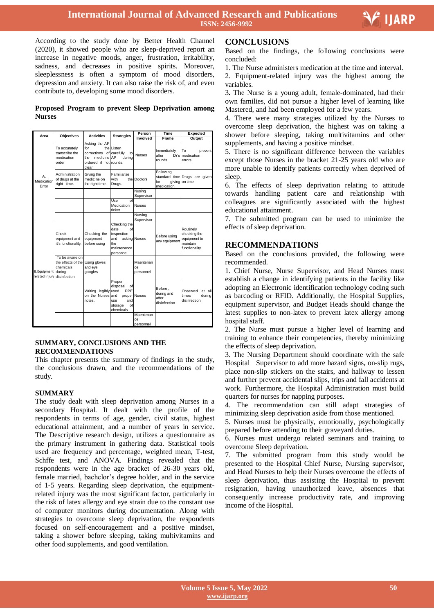

Ξ

According to the study done by Better Health Channel (2020), it showed people who are sleep-deprived report an increase in negative moods, anger, frustration, irritability, sadness, and decreases in positive spirits. Moreover, sleeplessness is often a symptom of mood disorders, depression and anxiety. It can also raise the risk of, and even contribute to, developing some mood disorders.

#### **Proposed Program to prevent Sleep Deprivation among Nurses**

| Area                                               | <b>Objectives</b>                                                        | <b>Activities</b>                                                                                          | <b>Strategies</b>                                                                        | Person                       | Time                                            | Expected                                                                |
|----------------------------------------------------|--------------------------------------------------------------------------|------------------------------------------------------------------------------------------------------------|------------------------------------------------------------------------------------------|------------------------------|-------------------------------------------------|-------------------------------------------------------------------------|
|                                                    |                                                                          |                                                                                                            |                                                                                          | Involved                     | Frame                                           | Output                                                                  |
| A<br>Medication<br>Error                           | To accurately<br>transcribe the<br>medication<br>order                   | Asking the AP<br>for<br>corrections of carefully<br>medicine AP<br>the<br>ordered if not rounds.<br>clear. | the Listen<br>to<br>durina                                                               | <b>Nurses</b>                | Immediately<br>after<br>rounds.                 | Т٥<br>prevent<br>Dr's <i>medication</i><br>errors.                      |
|                                                    | Administration<br>of drugs at the<br>right time.                         | Giving the<br>medicine on<br>the right time.                                                               | Familiarize<br>with<br>Drugs.                                                            | the Doctors                  | Following<br>for<br>medication.                 | standard time Drugs are given<br>giving on time                         |
|                                                    |                                                                          |                                                                                                            |                                                                                          | Nusing<br>Supervisor         |                                                 |                                                                         |
|                                                    |                                                                          |                                                                                                            | Use<br>Ωf<br>Medication<br>ticket                                                        | <b>Nurses</b>                |                                                 |                                                                         |
|                                                    |                                                                          |                                                                                                            |                                                                                          | Nursing<br>Supervisor        |                                                 |                                                                         |
| <b>B.Equipment</b><br>related injury disinfection. | Check<br>equipment and<br>it's functionality.                            | Checking the<br>equipment<br>before using                                                                  | Checking the<br>date<br>$\Omega$<br>inspection<br>and<br>the<br>maintenance<br>personnel | asking Nurses                | Before using<br>any equipment                   | Routinely<br>checking the<br>equipment to<br>maintain<br>functionality. |
|                                                    | To be aware on<br>the effects of the Using gloves<br>chemicals<br>during | and eye<br>googles                                                                                         |                                                                                          | Maentenan<br>ce<br>personnel |                                                 |                                                                         |
|                                                    |                                                                          | Writing legibly used<br>on the Nurses and<br>notes.                                                        | Proper<br>disposal<br>of<br>PPE<br>use<br>and<br>of<br>storage<br>chemicals              | proper Nurses                | Before,<br>during and<br>after<br>disinfection. | at all<br>Observed<br>times<br>during<br>disinfection.                  |
|                                                    |                                                                          |                                                                                                            |                                                                                          | Maentenan<br>ce<br>personnel |                                                 |                                                                         |

#### tary. Conclusions and the  $SUMMARY$ , CONCLUSIONS AND THE RECOMMENDATIONS

nclusions drawn, and the recommendations of the sents the summary of findings in the stud This chapter presents the summary of findings in the study, the conclusions drawn, and the recommendations of the study.

#### **SUMMARY**

udy dealt with sleep deprivation among Nurses in a The study dealt with sleep deprivation among Nurses in a<br>secondary Hospital. It dealt with the profile of the respondents in terms of age, gender, civil status, highest The Descriptive research design, utilizes a questionnaire as the primary instrument in gathering data. Statistical tools educational attainment, and a number of years in service. used are frequency and percentage, weighted mean, T-test, Schffe test, and ANOVA. Findings revealed that the respondents were in the age bracket of 26-30 years old, female married, bachelor's degree holder, and in the service of 1-5 years. Regarding sleep deprivation, the equipmentrelated injury was the most significant factor, particularly in the risk of latex allergy and eye strain due to the constant use of computer monitors during documentation. Along with strategies to overcome sleep deprivation, the respondents focused on self-encouragement and a positive mindset, a shower before sleeping taking a shower before sleeping, taking multivitamins and other food supplements, and good ventilation.  $\frac{1}{\sqrt{2}}$ 

#### **CONCLUSIONS**

Based on the findings, the following conclusions were concluded:

1. The Nurse administers medication at the time and interval. 2. Equipment-related injury was the highest among the variables.

3**.** The Nurse is a young adult, female-dominated, had their own families, did not pursue a higher level of learning like Mastered, and had been employed for a few years.

4. There were many strategies utilized by the Nurses to overcome sleep deprivation, the highest was on taking a shower before sleeping, taking multivitamins and other supplements, and having a positive mindset.

5. There is no significant difference between the variables except those Nurses in the bracket 21-25 years old who are more unable to identify patients correctly when deprived of sleep.

6. The effects of sleep deprivation relating to attitude towards handling patient care and relationship with colleagues are significantly associated with the highest educational attainment.

7. The submitted program can be used to minimize the effects of sleep deprivation.

### **RECOMMENDATIONS**

Based on the conclusions provided, the following were recommended.

1. Chief Nurse, Nurse Supervisor, and Head Nurses must establish a change in identifying patients in the facility like adopting an Electronic identification technology coding such as barcoding or RFID. Additionally, the Hospital Supplies, equipment supervisor, and Budget Heads should change the latest supplies to non-latex to prevent latex allergy among hospital staff.

2. The Nurse must pursue a higher level of learning and training to enhance their competencies, thereby minimizing the effects of sleep deprivation.

3. The Nursing Department should coordinate with the safe Hospital Supervisor to add more hazard signs, on-slip rugs, place non-slip stickers on the stairs, and hallway to lessen and further prevent accidental slips, trips and fall accidents at work. Furthermore, the Hospital Administration must build quarters for nurses for napping purposes.

4. The recommendation can still adapt strategies of minimizing sleep deprivation aside from those mentioned.

5. Nurses must be physically, emotionally, psychologically prepared before attending to their graveyard duties.

6. Nurses must undergo related seminars and training to overcome Sleep deprivation.

7. The submitted program from this study would be presented to the Hospital Chief Nurse, Nursing supervisor, and Head Nurses to help their Nurses overcome the effects of sleep deprivation, thus assisting the Hospital to prevent resignation, having unauthorized leave, absences that consequently increase productivity rate, and improving income of the Hospital.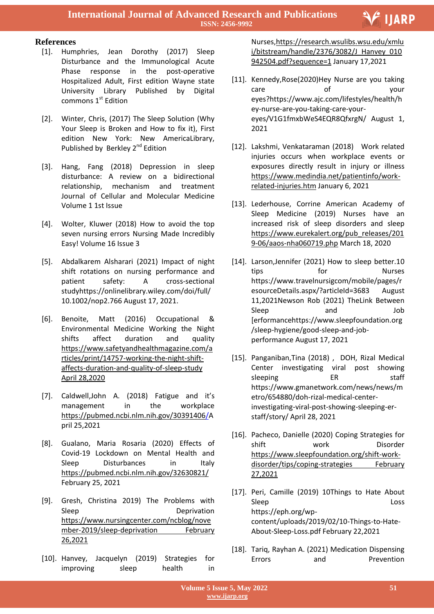

# **References**

- [1]. Humphries, Jean Dorothy (2017) Sleep Disturbance and the Immunological Acute Phase response in the post-operative Hospitalized Adult, First edition Wayne state University Library Published by Digital commons 1st Edition
- [2]. Winter, Chris, (2017) The Sleep Solution (Why Your Sleep is Broken and How to fix it), First edition New York: New AmericaLibrary, Published by Berkley 2<sup>nd</sup> Edition
- [3]. Hang, Fang (2018) Depression in sleep disturbance: A review on a bidirectional relationship, mechanism and treatment Journal of Cellular and Molecular Medicine Volume 1 1st Issue
- [4]. Wolter, Kluwer (2018) How to avoid the top seven nursing errors Nursing Made Incredibly Easy! Volume 16 Issue 3
- [5]. Abdalkarem Alsharari (2021) Impact of night shift rotations on nursing performance and patient safety: A cross-sectional studyhttps://onlinelibrary.wiley.com/doi/full/ 10.1002/nop2.766 August 17, 2021.
- [6]. Benoite, Matt (2016) Occupational & Environmental Medicine Working the Night shifts affect duration and quality [https://www.safetyandhealthmagazine.com/a](https://www.safetyandhealthmagazine.com/articles/print/14757-working-the-night-shift-affects-duration-and-quality-of-sleep-study%20April%2028,2020) [rticles/print/14757-working-the-night-shift](https://www.safetyandhealthmagazine.com/articles/print/14757-working-the-night-shift-affects-duration-and-quality-of-sleep-study%20April%2028,2020)[affects-duration-and-quality-of-sleep-study](https://www.safetyandhealthmagazine.com/articles/print/14757-working-the-night-shift-affects-duration-and-quality-of-sleep-study%20April%2028,2020) April [28,2020](https://www.safetyandhealthmagazine.com/articles/print/14757-working-the-night-shift-affects-duration-and-quality-of-sleep-study%20April%2028,2020)
- [7]. Caldwell,John A. (2018) Fatigue and it's management in the workplace [https://pubmed.ncbi.nlm.nih.gov/30391406/A](https://pubmed.ncbi.nlm.nih.gov/30391406/) pril 25,2021
- [8]. Gualano, Maria Rosaria (2020) Effects of Covid-19 Lockdown on Mental Health and Sleep Disturbances in Italy <https://pubmed.ncbi.nlm.nih.gov/32630821/> February 25, 2021
- [9]. Gresh, Christina 2019) The Problems with Sleep Deprivation [https://www.nursingcenter.com/ncblog/nove](https://www.nursingcenter.com/ncblog/november-2019/sleep-deprivation%20February%2026,2021) [mber-2019/sleep-deprivation](https://www.nursingcenter.com/ncblog/november-2019/sleep-deprivation%20February%2026,2021) February [26,2021](https://www.nursingcenter.com/ncblog/november-2019/sleep-deprivation%20February%2026,2021)
- [10]. Hanvey, Jacquelyn (2019) Strategies for improving sleep health in

 Nurses[,https://research.wsulibs.wsu.edu/xmlu](https://research.wsulibs.wsu.edu/xmlui/bitstream/handle/2376/3082/J_Hanvey_010942504.pdf?sequence=1) [i/bitstream/handle/2376/3082/J\\_Hanvey\\_010](https://research.wsulibs.wsu.edu/xmlui/bitstream/handle/2376/3082/J_Hanvey_010942504.pdf?sequence=1) [942504.pdf?sequence=1](https://research.wsulibs.wsu.edu/xmlui/bitstream/handle/2376/3082/J_Hanvey_010942504.pdf?sequence=1) January 17,2021

- [11]. Kennedy, Rose(2020) Hey Nurse are you taking care of your eyes?https://www.ajc.com/lifestyles/health/h ey-nurse-are-you-taking-care-youreyes/V1G1fmxbWeS4EQR8QfxrgN/ August 1, 2021
- [12]. Lakshmi, Venkataraman (2018) Work related injuries occurs when workplace events or exposures directly result in injury or illness [https://www.medindia.net/patientinfo/work](https://www.medindia.net/patientinfo/work-related-injuries.htm)[related-injuries.htm](https://www.medindia.net/patientinfo/work-related-injuries.htm) January 6, 2021
- [13]. Lederhouse, Corrine American Academy of Sleep Medicine (2019) Nurses have an increased risk of sleep disorders and sleep [https://www.eurekalert.org/pub\\_releases/201](https://www.eurekalert.org/pub_releases/2019-06/aaos-nha060719.php) [9-06/aaos-nha060719.php](https://www.eurekalert.org/pub_releases/2019-06/aaos-nha060719.php) March 18, 2020
- [14]. Larson, Jennifer (2021) How to sleep better. 10 tips for Nurses https://www.travelnursigcom/mobile/pages/r esourceDetails.aspx/?articleId=3683 August 11,2021Newson Rob (2021) TheLink Between Sleep and Job [erformancehttps://www.sleepfoundation.org /sleep-hygiene/good-sleep-and-jobperformance August 17, 2021
- [15]. Panganiban, Tina (2018) , DOH, Rizal Medical Center investigating viral post showing sleeping ER staff https://www.gmanetwork.com/news/news/m etro/654880/doh-rizal-medical-centerinvestigating-viral-post-showing-sleeping-erstaff/story/ April 28, 2021
- [16]. Pacheco, Danielle (2020) Coping Strategies for shift work Disorder [https://www.sleepfoundation.org/shift-work](https://www.sleepfoundation.org/shift-work-disorder/tips/coping-strategies%20February%2027,2021)[disorder/tips/coping-strategies](https://www.sleepfoundation.org/shift-work-disorder/tips/coping-strategies%20February%2027,2021) February [27,2021](https://www.sleepfoundation.org/shift-work-disorder/tips/coping-strategies%20February%2027,2021)
- [17]. Peri, Camille (2019) 10Things to Hate About Sleep Loss Loss https://eph.org/wpcontent/uploads/2019/02/10-Things-to-Hate-About-Sleep-Loss.pdf February 22,2021
- [18]. Tariq, Rayhan A. (2021) Medication Dispensing Errors and Prevention